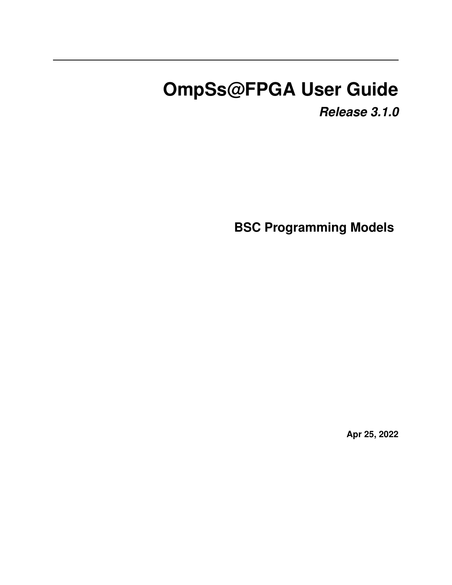# **OmpSs@FPGA User Guide**

*Release 3.1.0*

**BSC Programming Models**

**Apr 25, 2022**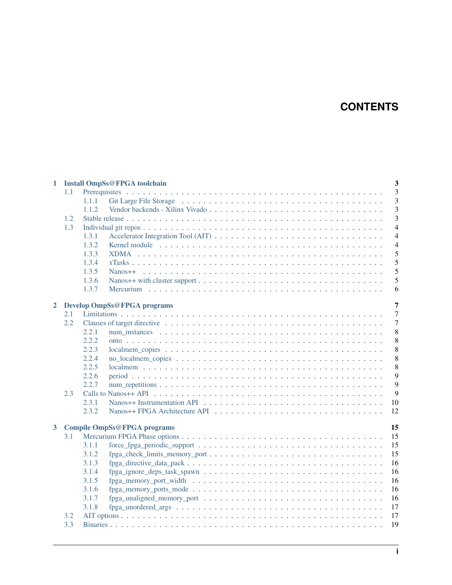## **CONTENTS**

| 1                       |     | $\overline{\mathbf{3}}$<br><b>Install OmpSs@FPGA toolchain</b>                                                             |                |  |  |  |  |  |  |
|-------------------------|-----|----------------------------------------------------------------------------------------------------------------------------|----------------|--|--|--|--|--|--|
|                         | 1.1 |                                                                                                                            | 3              |  |  |  |  |  |  |
|                         |     | 1.1.1                                                                                                                      | 3              |  |  |  |  |  |  |
|                         |     | 1.1.2                                                                                                                      | 3              |  |  |  |  |  |  |
|                         | 1.2 |                                                                                                                            | 3              |  |  |  |  |  |  |
|                         | 1.3 |                                                                                                                            | $\overline{4}$ |  |  |  |  |  |  |
|                         |     | 1.3.1                                                                                                                      | $\overline{4}$ |  |  |  |  |  |  |
|                         |     | 1.3.2                                                                                                                      | $\overline{4}$ |  |  |  |  |  |  |
|                         |     | 1.3.3                                                                                                                      | 5              |  |  |  |  |  |  |
|                         |     | 1.3.4                                                                                                                      | 5              |  |  |  |  |  |  |
|                         |     | 1.3.5                                                                                                                      | 5              |  |  |  |  |  |  |
|                         |     | 1.3.6                                                                                                                      | 5              |  |  |  |  |  |  |
|                         |     | 1.3.7                                                                                                                      | 6              |  |  |  |  |  |  |
| $\overline{2}$          |     | <b>Develop OmpSs@FPGA programs</b>                                                                                         | $\overline{7}$ |  |  |  |  |  |  |
|                         | 2.1 |                                                                                                                            | $\overline{7}$ |  |  |  |  |  |  |
|                         | 2.2 |                                                                                                                            | $\overline{7}$ |  |  |  |  |  |  |
|                         |     | 2.2.1                                                                                                                      | 8              |  |  |  |  |  |  |
|                         |     | 2.2.2                                                                                                                      | 8              |  |  |  |  |  |  |
|                         |     | 2.2.3                                                                                                                      | 8              |  |  |  |  |  |  |
|                         |     | 2.2.4                                                                                                                      | 8              |  |  |  |  |  |  |
|                         |     | 2.2.5                                                                                                                      | 8              |  |  |  |  |  |  |
|                         |     | 2.2.6                                                                                                                      | 9              |  |  |  |  |  |  |
|                         |     | 2.2.7                                                                                                                      | 9              |  |  |  |  |  |  |
|                         | 2.3 |                                                                                                                            | 9              |  |  |  |  |  |  |
|                         |     | Nanos++ Instrumentation API $\ldots \ldots \ldots \ldots \ldots \ldots \ldots \ldots \ldots \ldots \ldots \ldots$<br>2.3.1 | 10             |  |  |  |  |  |  |
|                         |     | 2.3.2                                                                                                                      | 12             |  |  |  |  |  |  |
|                         |     |                                                                                                                            |                |  |  |  |  |  |  |
| $\overline{\mathbf{3}}$ |     | <b>Compile OmpSs@FPGA programs</b>                                                                                         | 15             |  |  |  |  |  |  |
|                         | 3.1 |                                                                                                                            | 15             |  |  |  |  |  |  |
|                         |     | 3.1.1                                                                                                                      | 15             |  |  |  |  |  |  |
|                         |     | 3.1.2                                                                                                                      | 15             |  |  |  |  |  |  |
|                         |     | 3.1.3                                                                                                                      | 16             |  |  |  |  |  |  |
|                         |     | 3.1.4                                                                                                                      | 16             |  |  |  |  |  |  |
|                         |     | 3.1.5                                                                                                                      | 16             |  |  |  |  |  |  |
|                         |     | 3.1.6                                                                                                                      | 16             |  |  |  |  |  |  |
|                         |     | 3.1.7                                                                                                                      | 16             |  |  |  |  |  |  |
|                         |     | 3.1.8<br>$fpga\_unordered\_args \ldots \ldots \ldots \ldots \ldots \ldots \ldots \ldots \ldots \ldots \ldots \ldots$       | 17             |  |  |  |  |  |  |
|                         | 3.2 |                                                                                                                            | 17             |  |  |  |  |  |  |
|                         | 3.3 |                                                                                                                            | 19             |  |  |  |  |  |  |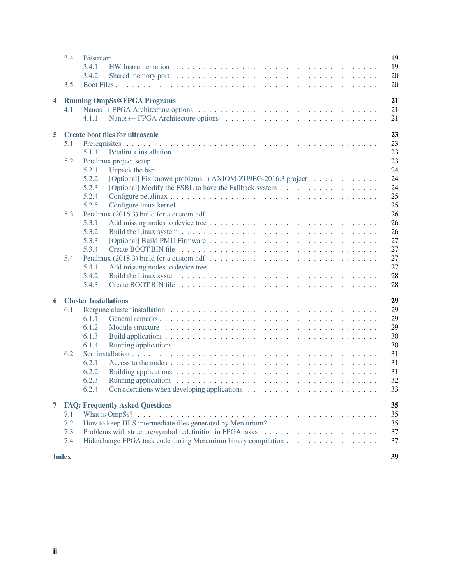|   | 3.4                                           | 3.4.1<br>3.4.2                                                                                                                  | 19<br>19<br>20 |  |  |  |  |  |  |
|---|-----------------------------------------------|---------------------------------------------------------------------------------------------------------------------------------|----------------|--|--|--|--|--|--|
|   | 3.5                                           |                                                                                                                                 | 20             |  |  |  |  |  |  |
| 4 |                                               | <b>Running OmpSs@FPGA Programs</b>                                                                                              | 21             |  |  |  |  |  |  |
|   | 4.1                                           | 4.1.1                                                                                                                           | 21<br>21       |  |  |  |  |  |  |
| 5 | 23<br><b>Create boot files for ultrascale</b> |                                                                                                                                 |                |  |  |  |  |  |  |
|   | 5.1                                           |                                                                                                                                 | 23             |  |  |  |  |  |  |
|   |                                               | 5.1.1                                                                                                                           | 23             |  |  |  |  |  |  |
|   | 5.2                                           |                                                                                                                                 | 23             |  |  |  |  |  |  |
|   |                                               | 5.2.1                                                                                                                           | 24             |  |  |  |  |  |  |
|   |                                               | 5.2.2<br>[Optional] Fix known problems in AXIOM-ZU9EG-2016.3 project                                                            | 24             |  |  |  |  |  |  |
|   |                                               | 5.2.3                                                                                                                           | 24<br>25       |  |  |  |  |  |  |
|   |                                               | 5.2.4<br>5.2.5                                                                                                                  | 25             |  |  |  |  |  |  |
|   | 5.3                                           | Petalinux (2016.3) build for a custom hdf $\dots \dots \dots \dots \dots \dots \dots \dots \dots \dots \dots \dots \dots \dots$ | 26             |  |  |  |  |  |  |
|   |                                               | 5.3.1                                                                                                                           | 26             |  |  |  |  |  |  |
|   |                                               | 5.3.2                                                                                                                           | 26             |  |  |  |  |  |  |
|   |                                               | 5.3.3                                                                                                                           | 27             |  |  |  |  |  |  |
|   |                                               | 5.3.4                                                                                                                           | 27             |  |  |  |  |  |  |
|   | 5.4                                           |                                                                                                                                 | 27             |  |  |  |  |  |  |
|   |                                               | 5.4.1                                                                                                                           | 27             |  |  |  |  |  |  |
|   |                                               | 5.4.2                                                                                                                           | 28             |  |  |  |  |  |  |
|   |                                               | 5.4.3                                                                                                                           | 28             |  |  |  |  |  |  |
| 6 |                                               | <b>Cluster Installations</b>                                                                                                    | 29             |  |  |  |  |  |  |
|   | 6.1                                           |                                                                                                                                 | 29             |  |  |  |  |  |  |
|   |                                               | 6.1.1                                                                                                                           | 29             |  |  |  |  |  |  |
|   |                                               | 6.1.2                                                                                                                           | 29             |  |  |  |  |  |  |
|   |                                               | 6.1.3                                                                                                                           | 30             |  |  |  |  |  |  |
|   |                                               | 6.1.4                                                                                                                           | 30             |  |  |  |  |  |  |
|   | 6.2                                           |                                                                                                                                 | 31             |  |  |  |  |  |  |
|   |                                               | 6.2.1                                                                                                                           | 31             |  |  |  |  |  |  |
|   |                                               | 6.2.2<br>6.2.3                                                                                                                  | 31             |  |  |  |  |  |  |
|   |                                               | 6.2.4                                                                                                                           | 32<br>33       |  |  |  |  |  |  |
| 7 |                                               | <b>FAQ: Frequently Asked Questions</b>                                                                                          | 35             |  |  |  |  |  |  |
|   | 7.1                                           |                                                                                                                                 | 35             |  |  |  |  |  |  |
|   | 7.2                                           |                                                                                                                                 | 35             |  |  |  |  |  |  |
|   | 7.3                                           |                                                                                                                                 | 37             |  |  |  |  |  |  |
|   | 7.4                                           |                                                                                                                                 | 37             |  |  |  |  |  |  |
|   | <b>Index</b>                                  |                                                                                                                                 | 39             |  |  |  |  |  |  |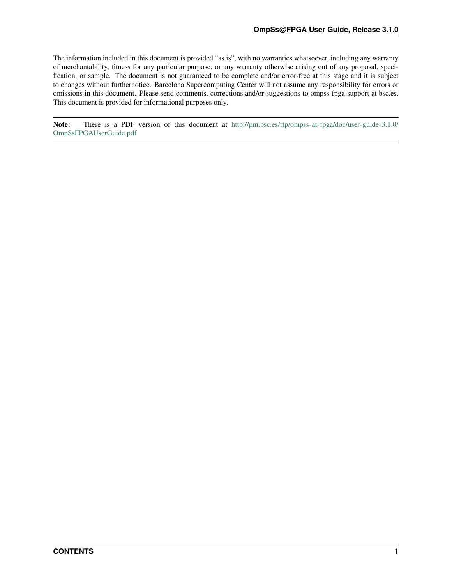<span id="page-4-0"></span>The information included in this document is provided "as is", with no warranties whatsoever, including any warranty of merchantability, fitness for any particular purpose, or any warranty otherwise arising out of any proposal, specification, or sample. The document is not guaranteed to be complete and/or error-free at this stage and it is subject to changes without furthernotice. Barcelona Supercomputing Center will not assume any responsibility for errors or omissions in this document. Please send comments, corrections and/or suggestions to ompss-fpga-support at bsc.es. This document is provided for informational purposes only.

Note: There is a PDF version of this document at [http://pm.bsc.es/ftp/ompss-at-fpga/doc/user-guide-3.1.0/](http://pm.bsc.es/ftp/ompss-at-fpga/doc/user-guide-3.1.0/OmpSsFPGAUserGuide.pdf) [OmpSsFPGAUserGuide.pdf](http://pm.bsc.es/ftp/ompss-at-fpga/doc/user-guide-3.1.0/OmpSsFPGAUserGuide.pdf)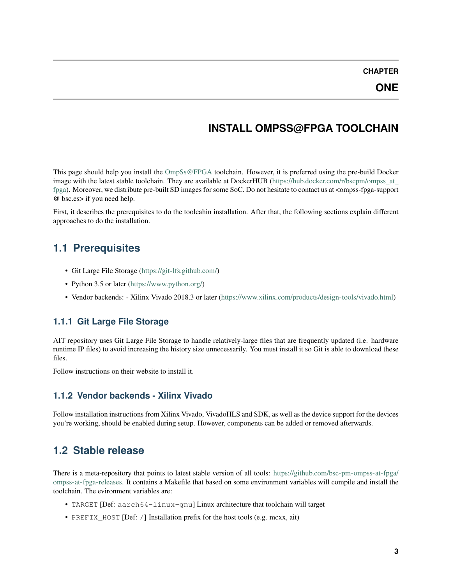## **INSTALL OMPSS@FPGA TOOLCHAIN**

<span id="page-6-0"></span>This page should help you install the [OmpSs@FPGA](mailto:OmpSs@FPGA) toolchain. However, it is preferred using the pre-build Docker image with the latest stable toolchain. They are available at DockerHUB [\(https://hub.docker.com/r/bscpm/ompss\\_at\\_](https://hub.docker.com/r/bscpm/ompss_at_fpga) [fpga\)](https://hub.docker.com/r/bscpm/ompss_at_fpga). Moreover, we distribute pre-built SD images for some SoC. Do not hesitate to contact us at <ompss-fpga-support @ bsc.es> if you need help.

First, it describes the prerequisites to do the toolcahin installation. After that, the following sections explain different approaches to do the installation.

## <span id="page-6-1"></span>**1.1 Prerequisites**

- Git Large File Storage [\(https://git-lfs.github.com/\)](https://git-lfs.github.com/)
- Python 3.5 or later [\(https://www.python.org/\)](https://www.python.org/)
- Vendor backends: Xilinx Vivado 2018.3 or later [\(https://www.xilinx.com/products/design-tools/vivado.html\)](https://www.xilinx.com/products/design-tools/vivado.html)

### <span id="page-6-2"></span>**1.1.1 Git Large File Storage**

AIT repository uses Git Large File Storage to handle relatively-large files that are frequently updated (i.e. hardware runtime IP files) to avoid increasing the history size unnecessarily. You must install it so Git is able to download these files.

Follow instructions on their website to install it.

### <span id="page-6-3"></span>**1.1.2 Vendor backends - Xilinx Vivado**

Follow installation instructions from Xilinx Vivado, VivadoHLS and SDK, as well as the device support for the devices you're working, should be enabled during setup. However, components can be added or removed afterwards.

## <span id="page-6-4"></span>**1.2 Stable release**

There is a meta-repository that points to latest stable version of all tools: [https://github.com/bsc-pm-ompss-at-fpga/](https://github.com/bsc-pm-ompss-at-fpga/ompss-at-fpga-releases) [ompss-at-fpga-releases.](https://github.com/bsc-pm-ompss-at-fpga/ompss-at-fpga-releases) It contains a Makefile that based on some environment variables will compile and install the toolchain. The evironment variables are:

- TARGET [Def: aarch64-linux-qnu] Linux architecture that toolchain will target
- PREFIX\_HOST [Def: /] Installation prefix for the host tools (e.g. mcxx, ait)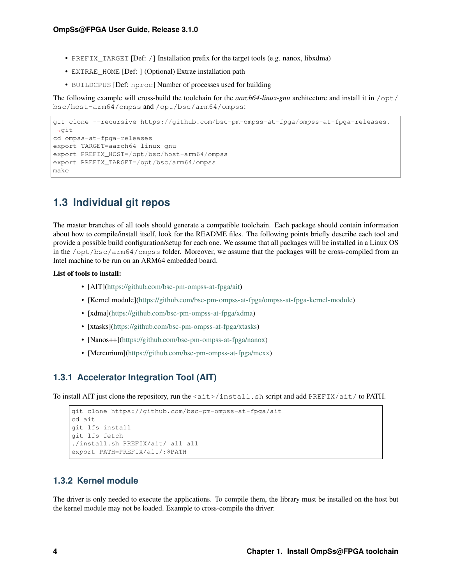- PREFIX TARGET [Def: /] Installation prefix for the target tools (e.g. nanox, libxdma)
- EXTRAE\_HOME [Def: ] (Optional) Extrae installation path
- BUILDCPUS [Def: nproc] Number of processes used for building

The following example will cross-build the toolchain for the *aarch64-linux-gnu* architecture and install it in /opt/ bsc/host-arm64/ompss and /opt/bsc/arm64/ompss:

```
git clone --recursive https://github.com/bsc-pm-ompss-at-fpga/ompss-at-fpga-releases.
˓→git
cd ompss-at-fpga-releases
export TARGET=aarch64-linux-gnu
export PREFIX_HOST=/opt/bsc/host-arm64/ompss
export PREFIX_TARGET=/opt/bsc/arm64/ompss
make
```
## <span id="page-7-0"></span>**1.3 Individual git repos**

The master branches of all tools should generate a compatible toolchain. Each package should contain information about how to compile/install itself, look for the README files. The following points briefly describe each tool and provide a possible build configuration/setup for each one. We assume that all packages will be installed in a Linux OS in the /opt/bsc/arm64/ompss folder. Moreover, we assume that the packages will be cross-compiled from an Intel machine to be run on an ARM64 embedded board.

### List of tools to install:

- [AIT][\(https://github.com/bsc-pm-ompss-at-fpga/ait\)](https://github.com/bsc-pm-ompss-at-fpga/ait)
- [Kernel module][\(https://github.com/bsc-pm-ompss-at-fpga/ompss-at-fpga-kernel-module\)](https://github.com/bsc-pm-ompss-at-fpga/ompss-at-fpga-kernel-module)
- [xdma][\(https://github.com/bsc-pm-ompss-at-fpga/xdma\)](https://github.com/bsc-pm-ompss-at-fpga/xdma)
- [xtasks][\(https://github.com/bsc-pm-ompss-at-fpga/xtasks\)](https://github.com/bsc-pm-ompss-at-fpga/xtasks)
- [Nanos++][\(https://github.com/bsc-pm-ompss-at-fpga/nanox\)](https://github.com/bsc-pm-ompss-at-fpga/nanox)
- [Mercurium][\(https://github.com/bsc-pm-ompss-at-fpga/mcxx\)](https://github.com/bsc-pm-ompss-at-fpga/mcxx)

### <span id="page-7-1"></span>**1.3.1 Accelerator Integration Tool (AIT)**

To install AIT just clone the repository, run the <ait>/install.sh script and add PREFIX/ait/ to PATH.

```
git clone https://github.com/bsc-pm-ompss-at-fpga/ait
cd ait
git lfs install
git lfs fetch
./install.sh PREFIX/ait/ all all
export PATH=PREFIX/ait/:$PATH
```
### <span id="page-7-2"></span>**1.3.2 Kernel module**

The driver is only needed to execute the applications. To compile them, the library must be installed on the host but the kernel module may not be loaded. Example to cross-compile the driver: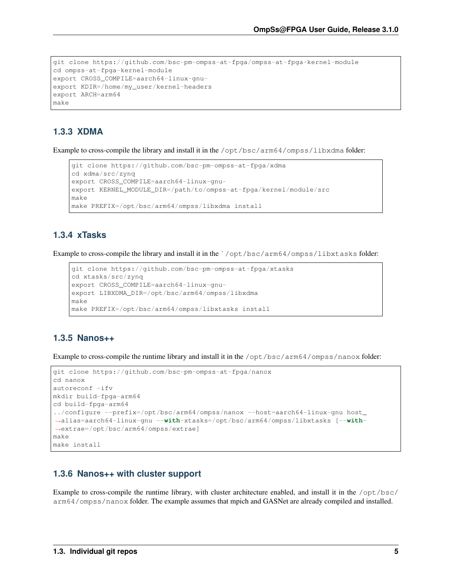```
git clone https://github.com/bsc-pm-ompss-at-fpga/ompss-at-fpga-kernel-module
cd ompss-at-fpga-kernel-module
export CROSS_COMPILE=aarch64-linux-gnu-
export KDIR=/home/my_user/kernel-headers
export ARCH=arm64
make
```
## <span id="page-8-0"></span>**1.3.3 XDMA**

Example to cross-compile the library and install it in the /opt/bsc/arm64/ompss/libxdma folder:

```
git clone https://github.com/bsc-pm-ompss-at-fpga/xdma
cd xdma/src/zynq
export CROSS_COMPILE=aarch64-linux-gnu-
export KERNEL_MODULE_DIR=/path/to/ompss-at-fpga/kernel/module/src
make
make PREFIX=/opt/bsc/arm64/ompss/libxdma install
```
### <span id="page-8-1"></span>**1.3.4 xTasks**

Example to cross-compile the library and install it in the `/opt/bsc/arm64/ompss/libxtasks folder:

```
git clone https://github.com/bsc-pm-ompss-at-fpga/xtasks
cd xtasks/src/zynq
export CROSS_COMPILE=aarch64-linux-gnu-
export LIBXDMA_DIR=/opt/bsc/arm64/ompss/libxdma
make
make PREFIX=/opt/bsc/arm64/ompss/libxtasks install
```
### <span id="page-8-2"></span>**1.3.5 Nanos++**

Example to cross-compile the runtime library and install it in the /opt/bsc/arm64/ompss/nanox folder:

```
git clone https://github.com/bsc-pm-ompss-at-fpga/nanox
cd nanox
autoreconf -ifv
mkdir build-fpga-arm64
cd build-fpga-arm64
../configure --prefix=/opt/bsc/arm64/ompss/nanox --host=aarch64-linux-gnu host_
˓→alias=aarch64-linux-gnu --with-xtasks=/opt/bsc/arm64/ompss/libxtasks [--with-
˓→extrae=/opt/bsc/arm64/ompss/extrae]
make
make install
```
### <span id="page-8-3"></span>**1.3.6 Nanos++ with cluster support**

Example to cross-compile the runtime library, with cluster architecture enabled, and install it in the  $\sqrt{\text{opt}}$ bsc/ arm64/ompss/nanox folder. The example assumes that mpich and GASNet are already compiled and installed.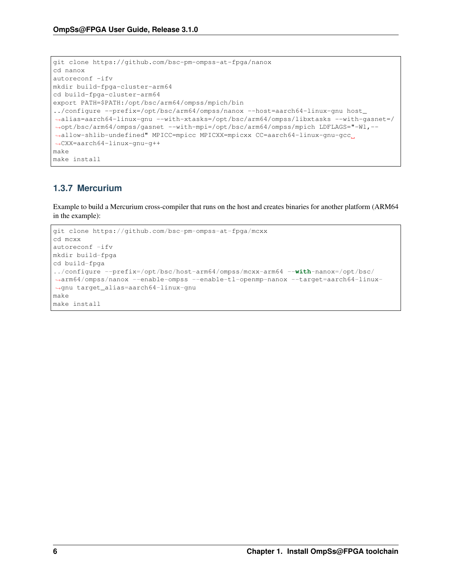```
git clone https://github.com/bsc-pm-ompss-at-fpga/nanox
cd nanox
autoreconf -ifv
mkdir build-fpga-cluster-arm64
cd build-fpga-cluster-arm64
export PATH=$PATH:/opt/bsc/arm64/ompss/mpich/bin
../configure --prefix=/opt/bsc/arm64/ompss/nanox --host=aarch64-linux-gnu host_
˓→alias=aarch64-linux-gnu --with-xtasks=/opt/bsc/arm64/ompss/libxtasks --with-gasnet=/
˓→opt/bsc/arm64/ompss/gasnet --with-mpi=/opt/bsc/arm64/ompss/mpich LDFLAGS="-Wl,--
˓→allow-shlib-undefined" MPICC=mpicc MPICXX=mpicxx CC=aarch64-linux-gnu-gcc
˓→CXX=aarch64-linux-gnu-g++
make
make install
```
## <span id="page-9-0"></span>**1.3.7 Mercurium**

Example to build a Mercurium cross-compiler that runs on the host and creates binaries for another platform (ARM64 in the example):

```
git clone https://github.com/bsc-pm-ompss-at-fpga/mcxx
cd mcxx
autoreconf -ifv
mkdir build-fpga
cd build-fpga
../configure --prefix=/opt/bsc/host-arm64/ompss/mcxx-arm64 --with-nanox=/opt/bsc/
˓→arm64/ompss/nanox --enable-ompss --enable-tl-openmp-nanox --target=aarch64-linux-
˓→gnu target_alias=aarch64-linux-gnu
make
make install
```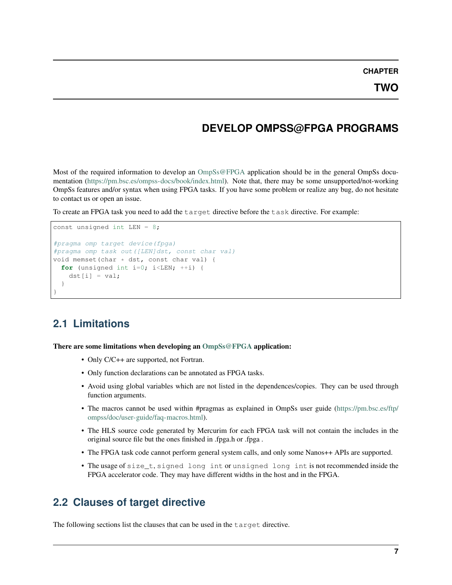**CHAPTER**

## **DEVELOP OMPSS@FPGA PROGRAMS**

<span id="page-10-0"></span>Most of the required information to develop an  $OmpSs@FPGA$  application should be in the general OmpSs documentation [\(https://pm.bsc.es/ompss-docs/book/index.html\)](https://pm.bsc.es/ompss-docs/book/index.html). Note that, there may be some unsupported/not-working OmpSs features and/or syntax when using FPGA tasks. If you have some problem or realize any bug, do not hesitate to contact us or open an issue.

To create an FPGA task you need to add the target directive before the task directive. For example:

```
const unsigned int LEN = 8;
#pragma omp target device(fpga)
#pragma omp task out([LEN]dst, const char val)
void memset(char * dst, const char val) {
  for (unsigned int i=0; i < LEN; ++i) {
    dst[i] = val;}
}
```
## <span id="page-10-1"></span>**2.1 Limitations**

There are some limitations when developing an [OmpSs@FPGA](mailto:OmpSs@FPGA) application:

- Only C/C++ are supported, not Fortran.
- Only function declarations can be annotated as FPGA tasks.
- Avoid using global variables which are not listed in the dependences/copies. They can be used through function arguments.
- The macros cannot be used within #pragmas as explained in OmpSs user guide [\(https://pm.bsc.es/ftp/](https://pm.bsc.es/ftp/ompss/doc/user-guide/faq-macros.html) [ompss/doc/user-guide/faq-macros.html\)](https://pm.bsc.es/ftp/ompss/doc/user-guide/faq-macros.html).
- The HLS source code generated by Mercurim for each FPGA task will not contain the includes in the original source file but the ones finished in .fpga.h or .fpga .
- The FPGA task code cannot perform general system calls, and only some Nanos + APIs are supported.
- The usage of size\_t, signed long int or unsigned long int is not recommended inside the FPGA accelerator code. They may have different widths in the host and in the FPGA.

## <span id="page-10-2"></span>**2.2 Clauses of target directive**

The following sections list the clauses that can be used in the target directive.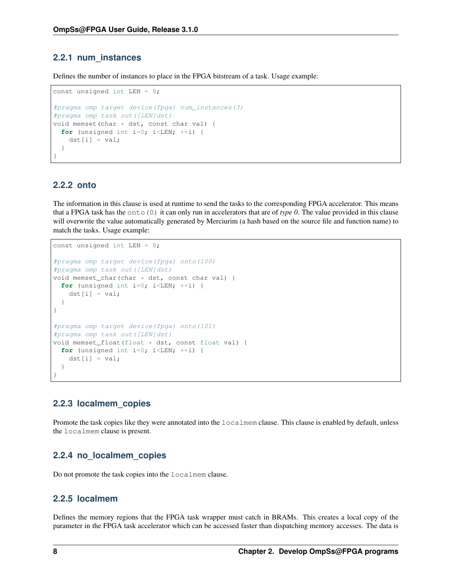### <span id="page-11-0"></span>**2.2.1 num\_instances**

Defines the number of instances to place in the FPGA bitstream of a task. Usage example:

```
const unsigned int LEN = 8;
#pragma omp target device(fpga) num_instances(3)
#pragma omp task out([LEN]dst)
void memset(char * dst, const char val) {
  for (unsigned int i=0; i <LEN; ++i) {
    dst[i] = val;}
}
```
### <span id="page-11-1"></span>**2.2.2 onto**

The information in this clause is used at runtime to send the tasks to the corresponding FPGA accelerator. This means that a FPGA task has the onto(0) it can only run in accelerators that are of *type 0*. The value provided in this clause will overwrite the value automatically generated by Merciurim (a hash based on the source file and function name) to match the tasks. Usage example:

```
const unsigned int LEN = 8;
#pragma omp target device(fpga) onto(100)
#pragma omp task out([LEN]dst)
void memset_char(char * dst, const char val) {
  for (unsigned int i=0; i<LEN; +i) {
    dst[i] = val;}
}
#pragma omp target device(fpga) onto(101)
#pragma omp task out([LEN]dst)
void memset_float(float * dst, const float val) {
  for (unsigned int i=0; i < LEN; ++i) {
    dst[i] = val;}
}
```
### <span id="page-11-2"></span>**2.2.3 localmem\_copies**

Promote the task copies like they were annotated into the  $localmem clause$ . This clause is enabled by default, unless the localmem clause is present.

### <span id="page-11-3"></span>**2.2.4 no\_localmem\_copies**

Do not promote the task copies into the localmem clause.

### <span id="page-11-4"></span>**2.2.5 localmem**

Defines the memory regions that the FPGA task wrapper must catch in BRAMs. This creates a local copy of the parameter in the FPGA task accelerator which can be accessed faster than dispatching memory accesses. The data is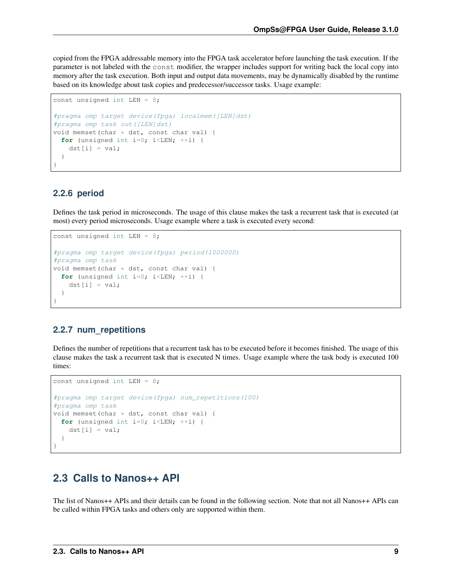<span id="page-12-3"></span>copied from the FPGA addressable memory into the FPGA task accelerator before launching the task execution. If the parameter is not labeled with the const modifier, the wrapper includes support for writing back the local copy into memory after the task execution. Both input and output data movements, may be dynamically disabled by the runtime based on its knowledge about task copies and predecessor/successor tasks. Usage example:

```
const unsigned int LEN = 8;
#pragma omp target device(fpga) localmem([LEN]dst)
#pragma omp task out([LEN]dst)
void memset(char * dst, const char val) {
  for (unsigned int i=0; i < LEN; ++i) {
   dst[i] = val;}
}
```
### <span id="page-12-0"></span>**2.2.6 period**

Defines the task period in microseconds. The usage of this clause makes the task a recurrent task that is executed (at most) every period microseconds. Usage example where a task is executed every second:

```
const unsigned int LEN = 8;
#pragma omp target device(fpga) period(1000000)
#pragma omp task
void memset(char * dst, const char val) {
 for (unsigned int i=0; i<LEN; +i) {
   dst[i] = val;}
}
```
### <span id="page-12-1"></span>**2.2.7 num\_repetitions**

Defines the number of repetitions that a recurrent task has to be executed before it becomes finished. The usage of this clause makes the task a recurrent task that is executed N times. Usage example where the task body is executed 100 times:

```
const unsigned int LEN = 8;
#pragma omp target device(fpga) num_repetitions(100)
#pragma omp task
void memset(char * dst, const char val) {
 for (unsigned int i=0; i <LEN; ++i) {
   dst[i] = val;}
}
```
## <span id="page-12-2"></span>**2.3 Calls to Nanos++ API**

The list of Nanos++ APIs and their details can be found in the following section. Note that not all Nanos++ APIs can be called within FPGA tasks and others only are supported within them.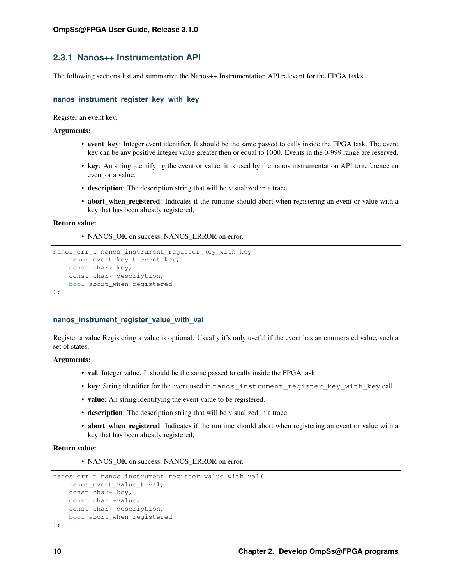### <span id="page-13-0"></span>**2.3.1 Nanos++ Instrumentation API**

The following sections list and summarize the Nanos++ Instrumentation API relevant for the FPGA tasks.

#### **nanos\_instrument\_register\_key\_with\_key**

Register an event key.

#### Arguments:

- event key: Integer event identifier. It should be the same passed to calls inside the FPGA task. The event key can be any positive integer value greater then or equal to 1000. Events in the 0-999 range are reserved.
- key: An string identifying the event or value, it is used by the nanos instrumentation API to reference an event or a value.
- description: The description string that will be visualized in a trace.
- abort\_when\_registered: Indicates if the runtime should abort when registering an event or value with a key that has been already registered,

#### Return value:

• NANOS OK on success, NANOS ERROR on error.

```
nanos_err_t nanos_instrument_register_key_with_key(
   nanos_event_key_t event_key,
   const char* key,
   const char* description,
   bool abort_when registered
);
```
#### **nanos\_instrument\_register\_value\_with\_val**

Register a value Registering a value is optional. Usually it's only useful if the event has an enumerated value, such a set of states.

#### Arguments:

- val: Integer value. It should be the same passed to calls inside the FPGA task.
- key: String identifier for the event used in nanos\_instrument\_register\_key\_with\_key call.
- value: An string identifying the event value to be registered.
- description: The description string that will be visualized in a trace.
- abort\_when\_registered: Indicates if the runtime should abort when registering an event or value with a key that has been already registered,

#### Return value:

• NANOS\_OK on success, NANOS\_ERROR on error.

```
nanos_err_t nanos_instrument_register_value_with_val(
   nanos_event_value_t val,
   const char* key,
   const char *value,
   const char* description,
   bool abort_when registered
);
```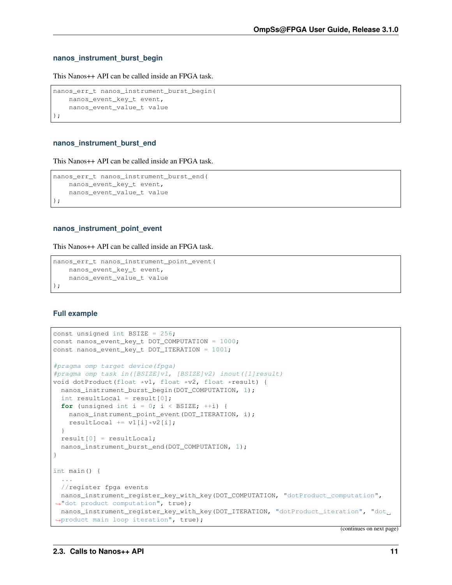#### **nanos\_instrument\_burst\_begin**

This Nanos++ API can be called inside an FPGA task.

```
nanos_err_t nanos_instrument_burst_begin(
   nanos_event_key_t event,
   nanos event value t value
);
```
#### **nanos\_instrument\_burst\_end**

This Nanos++ API can be called inside an FPGA task.

```
nanos_err_t nanos_instrument_burst_end(
   nanos_event_key_t event,
   nanos_event_value_t value
);
```
#### **nanos\_instrument\_point\_event**

This Nanos++ API can be called inside an FPGA task.

```
nanos_err_t nanos_instrument_point_event(
   nanos_event_key_t event,
   nanos_event_value_t value
);
```
#### **Full example**

```
const unsigned int BSIZE = 256;
const nanos_event_key_t DOT_COMPUTATION = 1000;
const nanos_event_key_t DOT_ITERATION = 1001;
#pragma omp target device(fpga)
#pragma omp task in([BSIZE]v1, [BSIZE]v2) inout([1]result)
void dotProduct(float *v1, float *v2, float *result) {
 nanos_instrument_burst_begin(DOT_COMPUTATION, 1);
 int resultLocal = result[0];
 for (unsigned int i = 0; i < BSIZE; ++i) {
   nanos_instrument_point_event(DOT_ITERATION, i);
   resultLocal += v1[i] * v2[i];}
 result[0] = resultLocal;
 nanos_instrument_burst_end(DOT_COMPUTATION, 1);
}
int main() {
 ...
 //register fpga events
 nanos_instrument_register_key_with_key(DOT_COMPUTATION, "dotProduct_computation",
˓→"dot product computation", true);
 nanos_instrument_register_key_with_key(DOT_ITERATION, "dotProduct_iteration", "dot_
˓→product main loop iteration", true);
```
(continues on next page)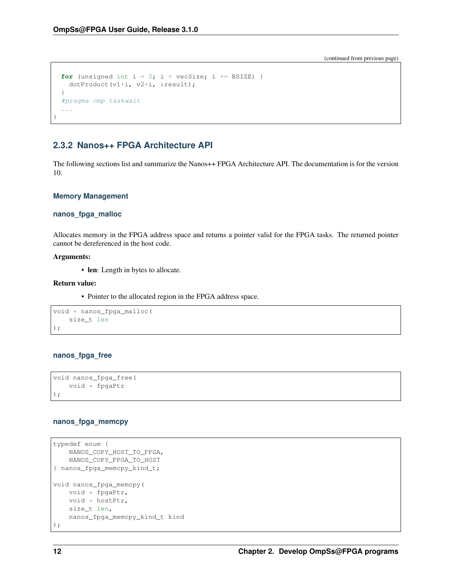(continued from previous page)

```
for (unsigned int i = 0; i < vecSize; i += BSIZE) {
 dotProduct(v1+i, v2+i, &result);
}
#pragma omp taskwait
...
```
### <span id="page-15-0"></span>**2.3.2 Nanos++ FPGA Architecture API**

The following sections list and summarize the Nanos++ FPGA Architecture API. The documentation is for the version 10.

#### **Memory Management**

#### **nanos\_fpga\_malloc**

Allocates memory in the FPGA address space and returns a pointer valid for the FPGA tasks. The returned pointer cannot be dereferenced in the host code.

#### Arguments:

}

• len: Length in bytes to allocate.

#### Return value:

• Pointer to the allocated region in the FPGA address space.

```
void * nanos_fpga_malloc(
   size_t len
);
```
#### **nanos\_fpga\_free**

```
void nanos_fpga_free(
    void * fpgaPtr
);
```
### **nanos\_fpga\_memcpy**

```
typedef enum {
   NANOS_COPY_HOST_TO_FPGA,
   NANOS_COPY_FPGA_TO_HOST
} nanos_fpga_memcpy_kind_t;
void nanos_fpga_memcpy(
   void * fpgaPtr,
   void * hostPtr,
   size_t len,
   nanos_fpga_memcpy_kind_t kind
);
```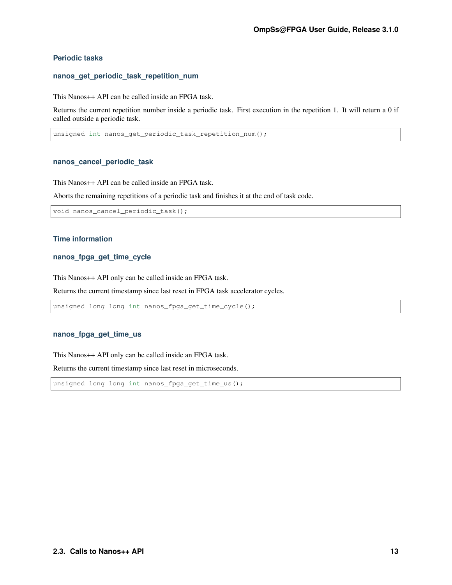### <span id="page-16-0"></span>**Periodic tasks**

#### **nanos\_get\_periodic\_task\_repetition\_num**

This Nanos++ API can be called inside an FPGA task.

Returns the current repetition number inside a periodic task. First execution in the repetition 1. It will return a 0 if called outside a periodic task.

unsigned int nanos\_get\_periodic\_task\_repetition\_num();

#### **nanos\_cancel\_periodic\_task**

This Nanos++ API can be called inside an FPGA task.

Aborts the remaining repetitions of a periodic task and finishes it at the end of task code.

void nanos\_cancel\_periodic\_task();

#### **Time information**

#### **nanos\_fpga\_get\_time\_cycle**

This Nanos++ API only can be called inside an FPGA task.

Returns the current timestamp since last reset in FPGA task accelerator cycles.

unsigned long long int nanos\_fpga\_get\_time\_cycle();

#### **nanos\_fpga\_get\_time\_us**

This Nanos++ API only can be called inside an FPGA task.

Returns the current timestamp since last reset in microseconds.

unsigned long long int nanos\_fpga\_get\_time\_us();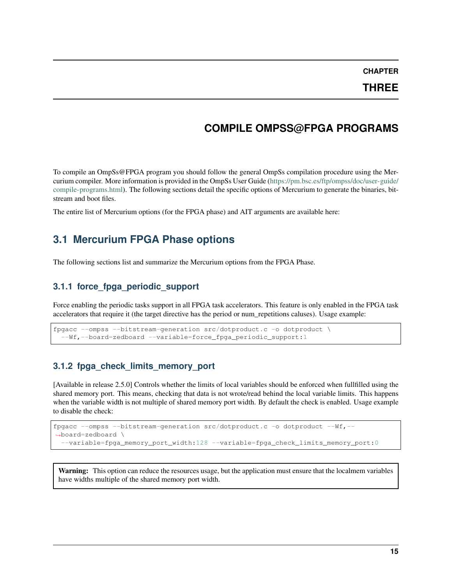**CHAPTER**

**THREE**

## **COMPILE OMPSS@FPGA PROGRAMS**

<span id="page-18-4"></span><span id="page-18-0"></span>To compile an OmpSs@FPGA program you should follow the general OmpSs compilation procedure using the Mercurium compiler. More information is provided in the OmpSs User Guide [\(https://pm.bsc.es/ftp/ompss/doc/user-guide/](https://pm.bsc.es/ftp/ompss/doc/user-guide/compile-programs.html) [compile-programs.html\)](https://pm.bsc.es/ftp/ompss/doc/user-guide/compile-programs.html). The following sections detail the specific options of Mercurium to generate the binaries, bitstream and boot files.

The entire list of Mercurium options (for the FPGA phase) and AIT arguments are available here:

## <span id="page-18-1"></span>**3.1 Mercurium FPGA Phase options**

The following sections list and summarize the Mercurium options from the FPGA Phase.

### <span id="page-18-2"></span>**3.1.1 force\_fpga\_periodic\_support**

Force enabling the periodic tasks support in all FPGA task accelerators. This feature is only enabled in the FPGA task accelerators that require it (the target directive has the period or num\_repetitions caluses). Usage example:

```
fpgacc --ompss --bitstream-generation src/dotproduct.c -o dotproduct \
  --Wf,--board=zedboard --variable=force_fpga_periodic_support:1
```
### <span id="page-18-3"></span>**3.1.2 fpga\_check\_limits\_memory\_port**

[Available in release 2.5.0] Controls whether the limits of local variables should be enforced when fullfilled using the shared memory port. This means, checking that data is not wrote/read behind the local variable limits. This happens when the variable width is not multiple of shared memory port width. By default the check is enabled. Usage example to disable the check:

```
fpgacc --ompss --bitstream-generation src/dotproduct.c -o dotproduct --Wf,--
˓→board=zedboard \
  --variable=fpga_memory_port_width:128 --variable=fpga_check_limits_memory_port:0
```
Warning: This option can reduce the resources usage, but the application must ensure that the localmem variables have widths multiple of the shared memory port width.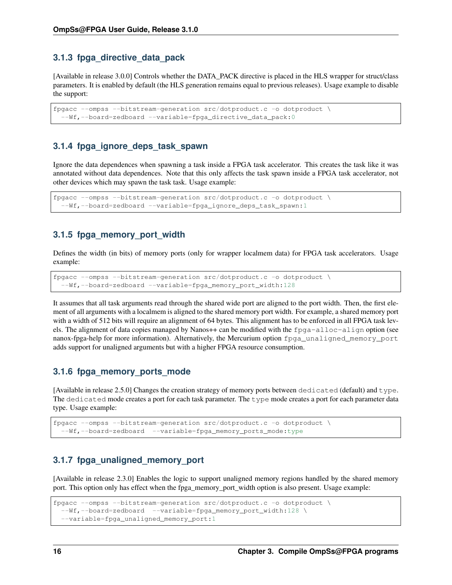### <span id="page-19-0"></span>**3.1.3 fpga\_directive\_data\_pack**

[Available in release 3.0.0] Controls whether the DATA\_PACK directive is placed in the HLS wrapper for struct/class parameters. It is enabled by default (the HLS generation remains equal to previous releases). Usage example to disable the support:

```
fpgacc --ompss --bitstream-generation src/dotproduct.c -o dotproduct \
  --Wf,--board=zedboard --variable=fpga_directive_data_pack:0
```
### <span id="page-19-1"></span>**3.1.4 fpga\_ignore\_deps\_task\_spawn**

Ignore the data dependences when spawning a task inside a FPGA task accelerator. This creates the task like it was annotated without data dependences. Note that this only affects the task spawn inside a FPGA task accelerator, not other devices which may spawn the task task. Usage example:

```
fpgacc --ompss --bitstream-generation src/dotproduct.c -o dotproduct \
 --Wf,--board=zedboard --variable=fpga_ignore_deps_task_spawn:1
```
### <span id="page-19-2"></span>**3.1.5 fpga\_memory\_port\_width**

Defines the width (in bits) of memory ports (only for wrapper localmem data) for FPGA task accelerators. Usage example:

```
fpgacc --ompss --bitstream-generation src/dotproduct.c -o dotproduct \
  --Wf,--board=zedboard --variable=fpga_memory_port_width:128
```
It assumes that all task arguments read through the shared wide port are aligned to the port width. Then, the first element of all arguments with a localmem is aligned to the shared memory port width. For example, a shared memory port with a width of 512 bits will require an alignment of 64 bytes. This alignment has to be enforced in all FPGA task levels. The alignment of data copies managed by Nanos++ can be modified with the fpga-alloc-align option (see nanox-fpga-help for more information). Alternatively, the Mercurium option fpga\_unaligned\_memory\_port adds support for unaligned arguments but with a higher FPGA resource consumption.

### <span id="page-19-3"></span>**3.1.6 fpga\_memory\_ports\_mode**

[Available in release 2.5.0] Changes the creation strategy of memory ports between dedicated (default) and type. The dedicated mode creates a port for each task parameter. The type mode creates a port for each parameter data type. Usage example:

```
fpgacc --ompss --bitstream-generation src/dotproduct.c -o dotproduct \
 --Wf,--board=zedboard --variable=fpga_memory_ports_mode:type
```
### <span id="page-19-4"></span>**3.1.7 fpga\_unaligned\_memory\_port**

[Available in release 2.3.0] Enables the logic to support unaligned memory regions handled by the shared memory port. This option only has effect when the fpga\_memory\_port\_width option is also present. Usage example:

```
fpgacc --ompss --bitstream-generation src/dotproduct.c -o dotproduct \
  --Wf,--board=zedboard --variable=fpga_memory_port_width:128 \
  --variable=fpga_unaligned_memory_port:1
```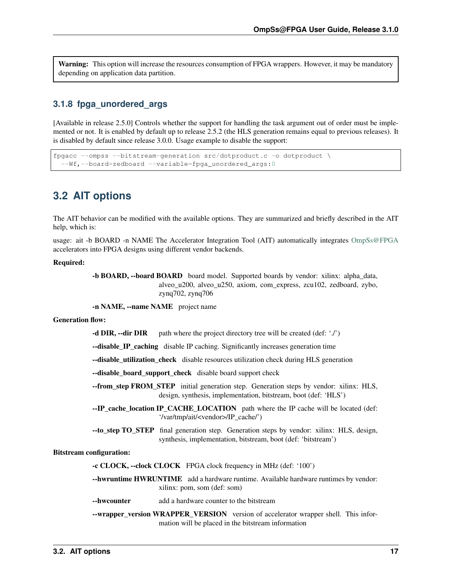<span id="page-20-2"></span>Warning: This option will increase the resources consumption of FPGA wrappers. However, it may be mandatory depending on application data partition.

### <span id="page-20-0"></span>**3.1.8 fpga\_unordered\_args**

[Available in release 2.5.0] Controls whether the support for handling the task argument out of order must be implemented or not. It is enabled by default up to release 2.5.2 (the HLS generation remains equal to previous releases). It is disabled by default since release 3.0.0. Usage example to disable the support:

```
fpgacc --ompss --bitstream-generation src/dotproduct.c -o dotproduct \
  --Wf,--board=zedboard --variable=fpga_unordered_args:0
```
## <span id="page-20-1"></span>**3.2 AIT options**

The AIT behavior can be modified with the available options. They are summarized and briefly described in the AIT help, which is:

usage: ait -b BOARD -n NAME The Accelerator Integration Tool (AIT) automatically integrates [OmpSs@FPGA](mailto:OmpSs@FPGA) accelerators into FPGA designs using different vendor backends.

#### Required:

-b BOARD, --board BOARD board model. Supported boards by vendor: xilinx: alpha\_data, alveo\_u200, alveo\_u250, axiom, com\_express, zcu102, zedboard, zybo, zynq702, zynq706

-n NAME, --name NAME project name

#### Generation flow:

-d DIR,  $\text{-dir DIR}$  path where the project directory tree will be created (def: './')

--disable IP caching disable IP caching. Significantly increases generation time

--disable\_utilization\_check disable resources utilization check during HLS generation

--disable\_board\_support\_check disable board support check

- --from\_step FROM\_STEP initial generation step. Generation steps by vendor: xilinx: HLS, design, synthesis, implementation, bitstream, boot (def: 'HLS')
- --IP\_cache\_location IP\_CACHE\_LOCATION path where the IP cache will be located (def: '/var/tmp/ait/<vendor>/IP\_cache/')

--to\_step TO\_STEP final generation step. Generation steps by vendor: xilinx: HLS, design, synthesis, implementation, bitstream, boot (def: 'bitstream')

#### Bitstream configuration:

-c CLOCK, --clock CLOCK FPGA clock frequency in MHz (def: '100')

--hwruntime HWRUNTIME add a hardware runtime. Available hardware runtimes by vendor: xilinx: pom, som (def: som)

#### --hwcounter add a hardware counter to the bitstream

--wrapper\_version WRAPPER\_VERSION version of accelerator wrapper shell. This information will be placed in the bitstream information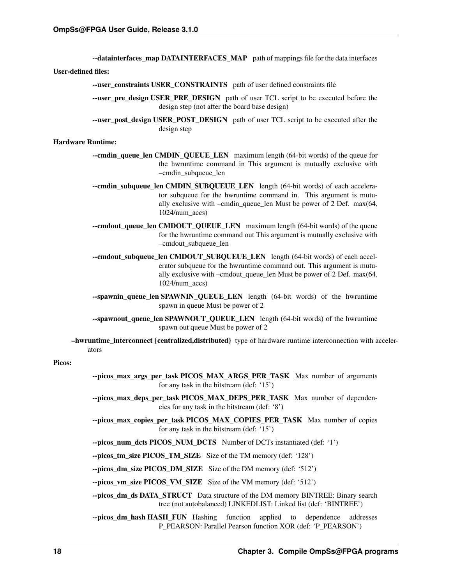--datainterfaces\_map DATAINTERFACES\_MAP path of mappings file for the data interfaces

#### User-defined files:

- --user\_constraints USER\_CONSTRAINTS path of user defined constraints file
- --user\_pre\_design USER\_PRE\_DESIGN path of user TCL script to be executed before the design step (not after the board base design)
- --user\_post\_design USER\_POST\_DESIGN path of user TCL script to be executed after the design step

#### Hardware Runtime:

- --cmdin\_queue\_len CMDIN\_QUEUE\_LEN maximum length (64-bit words) of the queue for the hwruntime command in This argument is mutually exclusive with –cmdin\_subqueue\_len
- --cmdin\_subqueue\_len CMDIN\_SUBQUEUE\_LEN length (64-bit words) of each accelerator subqueue for the hwruntime command in. This argument is mutually exclusive with –cmdin\_queue\_len Must be power of 2 Def. max(64, 1024/num\_accs)
- --cmdout queue len CMDOUT QUEUE LEN maximum length (64-bit words) of the queue for the hwruntime command out This argument is mutually exclusive with –cmdout\_subqueue\_len
- --cmdout subqueue len CMDOUT SUBQUEUE LEN length (64-bit words) of each accelerator subqueue for the hwruntime command out. This argument is mutually exclusive with –cmdout\_queue\_len Must be power of 2 Def. max(64, 1024/num\_accs)
- --spawnin\_queue\_len SPAWNIN\_QUEUE\_LEN length (64-bit words) of the hwruntime spawn in queue Must be power of 2
- --spawnout\_queue\_len SPAWNOUT\_QUEUE\_LEN length (64-bit words) of the hwruntime spawn out queue Must be power of 2
- –hwruntime\_interconnect {centralized,distributed} type of hardware runtime interconnection with accelerators

#### Picos:

- --picos max args per task PICOS MAX ARGS PER TASK Max number of arguments for any task in the bitstream (def: '15')
- --picos\_max\_deps\_per\_task PICOS\_MAX\_DEPS\_PER\_TASK Max number of dependencies for any task in the bitstream (def: '8')
- --picos max copies per task PICOS MAX COPIES PER TASK Max number of copies for any task in the bitstream (def: '15')
- --picos\_num\_dcts PICOS\_NUM\_DCTS Number of DCTs instantiated (def: '1')
- --picos\_tm\_size PICOS\_TM\_SIZE Size of the TM memory (def: '128')

--picos\_dm\_size PICOS\_DM\_SIZE Size of the DM memory (def: '512')

--picos\_vm\_size PICOS\_VM\_SIZE Size of the VM memory (def: '512')

- --picos\_dm\_ds DATA\_STRUCT Data structure of the DM memory BINTREE: Binary search tree (not autobalanced) LINKEDLIST: Linked list (def: 'BINTREE')
- --picos\_dm\_hash HASH\_FUN Hashing function applied to dependence addresses P\_PEARSON: Parallel Pearson function XOR (def: 'P\_PEARSON')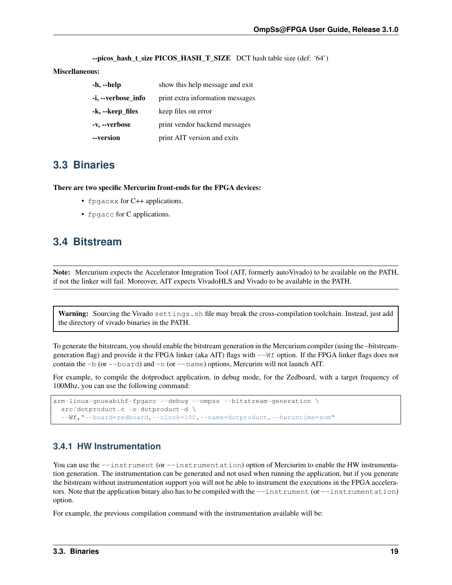$-$ picos hash t size PICOS HASH T SIZE DCT hash table size (def: '64')

#### Miscellaneous:

| -h, --help         | show this help message and exit  |  |  |  |
|--------------------|----------------------------------|--|--|--|
| -i, --verbose_info | print extra information messages |  |  |  |
| -k, --keep_files   | keep files on error              |  |  |  |
| -v, --verbose      | print vendor backend messages    |  |  |  |
| --version          | print AIT version and exits      |  |  |  |

## <span id="page-22-0"></span>**3.3 Binaries**

There are two specific Mercurim front-ends for the FPGA devices:

- fpgacxx for C++ applications.
- fpgacc for C applications.

## <span id="page-22-1"></span>**3.4 Bitstream**

Note: Mercurium expects the Accelerator Integration Tool (AIT, formerly autoVivado) to be available on the PATH, if not the linker will fail. Moreover, AIT expects VivadoHLS and Vivado to be available in the PATH.

Warning: Sourcing the Vivado settings.sh file may break the cross-compilation toolchain. Instead, just add the directory of vivado binaries in the PATH.

To generate the bitstream, you should enable the bitstream generation in the Mercurium compiler (using the –bitstreamgeneration flag) and provide it the FPGA linker (aka AIT) flags with  $-\nu \in \mathbb{R}$  option. If the FPGA linker flags does not contain the  $-b$  (or  $-\text{board}$ ) and  $-n$  (or  $-\text{name}$ ) options, Mercurim will not launch AIT.

For example, to compile the dotproduct application, in debug mode, for the Zedboard, with a target frequency of 100Mhz, you can use the following command:

```
arm-linux-gnueabihf-fpgacc --debug --ompss --bitstream-generation \
 src/dotproduct.c -o dotproduct-d \
  --Wf,"--board=zedboard,--clock=100,--name=dotproduct,--hwruntime=som"
```
### <span id="page-22-2"></span>**3.4.1 HW Instrumentation**

You can use the  $--instrument$  (or  $--instrumentation$ ) option of Merciurim to enable the HW instrumentation generation. The instrumentation can be generated and not used when running the application, but if you generate the bitstream without instrumentation support you will not be able to instrument the executions in the FPGA accelerators. Note that the application binary also has to be compiled with the  $-$ -instrument (or  $-$ instrumentation) option.

For example, the previous compilation command with the instrumentation available will be: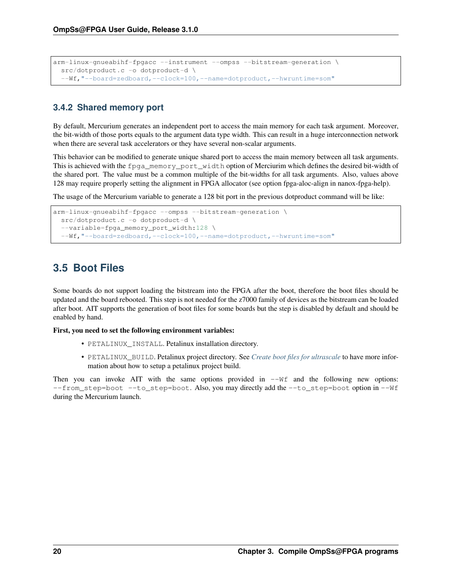```
arm-linux-gnueabihf-fpgacc --instrument --ompss --bitstream-generation \
 src/dotproduct.c -o dotproduct-d \
  --Wf,"--board=zedboard,--clock=100,--name=dotproduct,--hwruntime=som"
```
### <span id="page-23-0"></span>**3.4.2 Shared memory port**

By default, Mercurium generates an independent port to access the main memory for each task argument. Moreover, the bit-width of those ports equals to the argument data type width. This can result in a huge interconnection network when there are several task accelerators or they have several non-scalar arguments.

This behavior can be modified to generate unique shared port to access the main memory between all task arguments. This is achieved with the fpga\_memory\_port\_width option of Merciurim which defines the desired bit-width of the shared port. The value must be a common multiple of the bit-widths for all task arguments. Also, values above 128 may require properly setting the alignment in FPGA allocator (see option fpga-aloc-align in nanox-fpga-help).

The usage of the Mercurium variable to generate a 128 bit port in the previous dotproduct command will be like:

```
arm-linux-gnueabihf-fpgacc --ompss --bitstream-generation \
 src/dotproduct.c -o dotproduct-d \
 --variable=fpga_memory_port_width:128 \
 --Wf,"--board=zedboard,--clock=100,--name=dotproduct,--hwruntime=som"
```
## <span id="page-23-1"></span>**3.5 Boot Files**

Some boards do not support loading the bitstream into the FPGA after the boot, therefore the boot files should be updated and the board rebooted. This step is not needed for the z7000 family of devices as the bitstream can be loaded after boot. AIT supports the generation of boot files for some boards but the step is disabled by default and should be enabled by hand.

#### First, you need to set the following environment variables:

- PETALINUX\_INSTALL. Petalinux installation directory.
- PETALINUX\_BUILD. Petalinux project directory. See *[Create boot files for ultrascale](#page-26-0)* to have more information about how to setup a petalinux project build.

Then you can invoke AIT with the same options provided in  $-\Psi f$  and the following new options: --from\_step=boot --to\_step=boot. Also, you may directly add the --to\_step=boot option in --Wf during the Mercurium launch.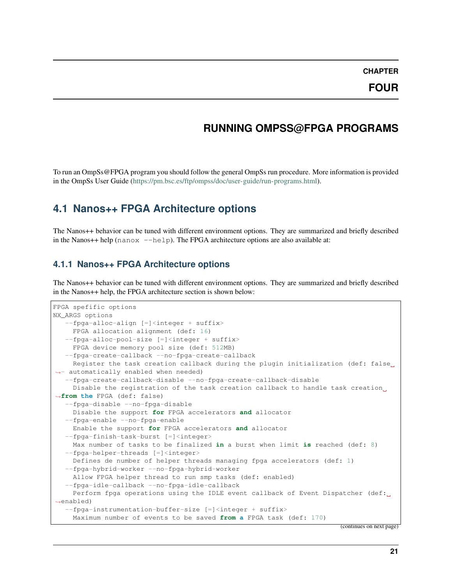## **RUNNING OMPSS@FPGA PROGRAMS**

<span id="page-24-3"></span><span id="page-24-0"></span>To run an OmpSs@FPGA program you should follow the general OmpSs run procedure. More information is provided in the OmpSs User Guide [\(https://pm.bsc.es/ftp/ompss/doc/user-guide/run-programs.html\)](https://pm.bsc.es/ftp/ompss/doc/user-guide/run-programs.html).

## <span id="page-24-1"></span>**4.1 Nanos++ FPGA Architecture options**

The Nanos++ behavior can be tuned with different environment options. They are summarized and briefly described in the Nanos++ help ( $nanox$  --help). The FPGA architecture options are also available at:

### <span id="page-24-2"></span>**4.1.1 Nanos++ FPGA Architecture options**

The Nanos++ behavior can be tuned with different environment options. They are summarized and briefly described in the Nanos++ help, the FPGA architecture section is shown below:

```
FPGA spefific options
NX_ARGS options
   --fpga-alloc-align [=]<integer + suffix>
    FPGA allocation alignment (def: 16)
  --fpga-alloc-pool-size [=]<integer + suffix>
    FPGA device memory pool size (def: 512MB)
   --fpga-create-callback --no-fpga-create-callback
    Register the task creation callback during the plugin initialization (def: false
\rightarrow- automatically enabled when needed)
   --fpga-create-callback-disable --no-fpga-create-callback-disable
    Disable the registration of the task creation callback to handle task creation.
˓→from the FPGA (def: false)
   --fpga-disable --no-fpga-disable
    Disable the support for FPGA accelerators and allocator
  --fpga-enable --no-fpga-enable
    Enable the support for FPGA accelerators and allocator
   --fpga-finish-task-burst [=]<integer>
    Max number of tasks to be finalized in a burst when limit is reached (def: 8)
  --fpga-helper-threads [=]<integer>
    Defines de number of helper threads managing fpga accelerators (def: 1)
  --fpga-hybrid-worker --no-fpga-hybrid-worker
    Allow FPGA helper thread to run smp tasks (def: enabled)
   --fpga-idle-callback --no-fpga-idle-callback
    Perform fpga operations using the IDLE event callback of Event Dispatcher (def:
˓→enabled)
   --fpa-instrumentation-buffer-size [=]<integer + suffix>
    Maximum number of events to be saved from a FPGA task (def: 170)
```
(continues on next page)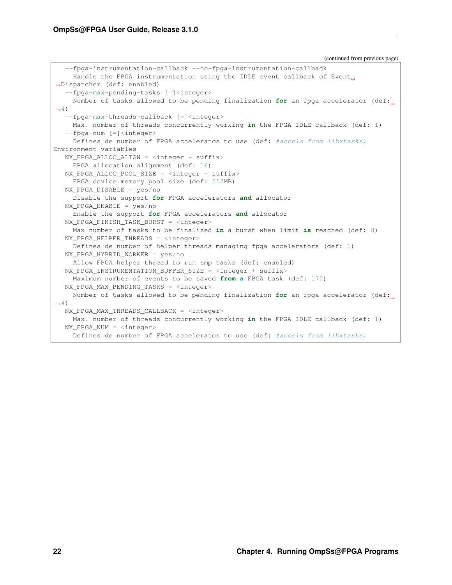(continued from previous page)

```
--fpga-instrumentation-callback --no-fpga-instrumentation-callback
     Handle the FPGA instrumentation using the IDLE event callback of Event
˓→Dispatcher (def: enabled)
   --fpga-max-pending-tasks [=]<integer>
    Number of tasks allowed to be pending finalization for an fpga accelerator (def:
\rightarrow4)
   --fpga-max-threads-callback [=]<integer>
    Max. number of threads concurrently working in the FPGA IDLE callback (def: 1)
   --fpga-num [=]<integer>
    Defines de number of FPGA acceleratos to use (def: #accels from libxtasks)
Environment variables
  NX_FPGA_ALLOC_ALIGN = <integer + suffix>
    FPGA allocation alignment (def: 16)
  NX_FPGA_ALLOC_POOL_SIZE = \langleinteger + suffix>
    FPGA device memory pool size (def: 512MB)
  NX_FPGA_DISABLE = yes/no
    Disable the support for FPGA accelerators and allocator
  NX_FPGA_ENABLE = yes/no
     Enable the support for FPGA accelerators and allocator
  NX_FPGA_FINISH_TASK_BURST = <integer>
    Max number of tasks to be finalized in a burst when limit is reached (def: 8)
  NX_FPGA_HELPER_THREADS = <integer>
    Defines de number of helper threads managing fpga accelerators (def: 1)
  NX_FPGA_HYBRID_WORKER = yes/no
    Allow FPGA helper thread to run smp tasks (def: enabled)
  NX_FPGA_INSTRUMENTATION_BUFFER_SIZE = <integer + suffix>
    Maximum number of events to be saved from a FPGA task (def: 170)
  NX FPGA MAX PENDING TASKS = \langleinteger>
    Number of tasks allowed to be pending finalization for an fpga accelerator (def:
\leftrightarrow4)
  NX_FPGA_MAX_THREADS_CALLBACK = <integer>
    Max. number of threads concurrently working in the FPGA IDLE callback (def: 1)
  NX_FPGA_NUM = <integer>
    Defines de number of FPGA acceleratos to use (def: #accels from libxtasks)
```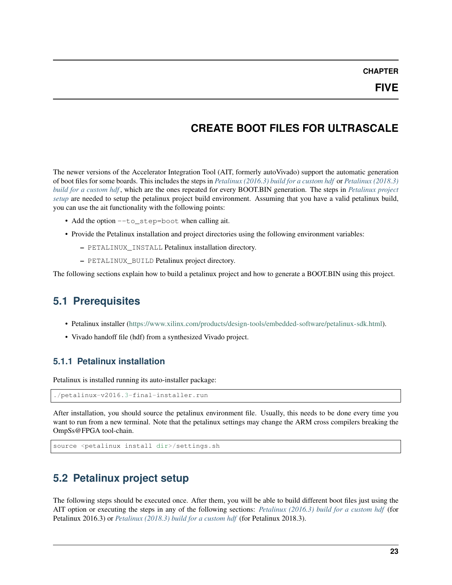## **CREATE BOOT FILES FOR ULTRASCALE**

<span id="page-26-0"></span>The newer versions of the Accelerator Integration Tool (AIT, formerly autoVivado) support the automatic generation of boot files for some boards. This includes the steps in *[Petalinux \(2016.3\) build for a custom hdf](#page-29-0)* or *[Petalinux \(2018.3\)](#page-30-2) [build for a custom hdf](#page-30-2)* , which are the ones repeated for every BOOT.BIN generation. The steps in *[Petalinux project](#page-26-3) [setup](#page-26-3)* are needed to setup the petalinux project build environment. Assuming that you have a valid petalinux build, you can use the ait functionality with the following points:

- Add the option --to\_step=boot when calling ait.
- Provide the Petalinux installation and project directories using the following environment variables:
	- PETALINUX\_INSTALL Petalinux installation directory.
	- PETALINUX\_BUILD Petalinux project directory.

The following sections explain how to build a petalinux project and how to generate a BOOT.BIN using this project.

## <span id="page-26-1"></span>**5.1 Prerequisites**

- Petalinux installer [\(https://www.xilinx.com/products/design-tools/embedded-software/petalinux-sdk.html\)](https://www.xilinx.com/products/design-tools/embedded-software/petalinux-sdk.html).
- Vivado handoff file (hdf) from a synthesized Vivado project.

### <span id="page-26-2"></span>**5.1.1 Petalinux installation**

Petalinux is installed running its auto-installer package:

```
./petalinux-v2016.3-final-installer.run
```
After installation, you should source the petalinux environment file. Usually, this needs to be done every time you want to run from a new terminal. Note that the petalinux settings may change the ARM cross compilers breaking the OmpSs@FPGA tool-chain.

```
source <petalinux install dir>/settings.sh
```
## <span id="page-26-3"></span>**5.2 Petalinux project setup**

The following steps should be executed once. After them, you will be able to build different boot files just using the AIT option or executing the steps in any of the following sections: *[Petalinux \(2016.3\) build for a custom hdf](#page-29-0)* (for Petalinux 2016.3) or *[Petalinux \(2018.3\) build for a custom hdf](#page-30-2)* (for Petalinux 2018.3).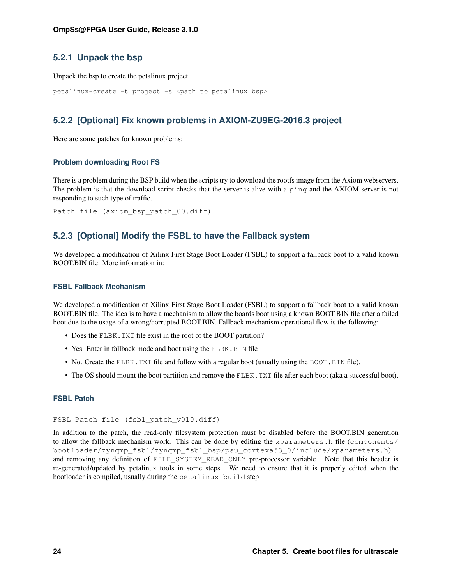### <span id="page-27-3"></span><span id="page-27-0"></span>**5.2.1 Unpack the bsp**

Unpack the bsp to create the petalinux project.

```
petalinux-create -t project -s <path to petalinux bsp>
```
## <span id="page-27-1"></span>**5.2.2 [Optional] Fix known problems in AXIOM-ZU9EG-2016.3 project**

Here are some patches for known problems:

### **Problem downloading Root FS**

There is a problem during the BSP build when the scripts try to download the rootfs image from the Axiom webservers. The problem is that the download script checks that the server is alive with a ping and the AXIOM server is not responding to such type of traffic.

Patch file (axiom\_bsp\_patch\_00.diff)

### <span id="page-27-2"></span>**5.2.3 [Optional] Modify the FSBL to have the Fallback system**

We developed a modification of Xilinx First Stage Boot Loader (FSBL) to support a fallback boot to a valid known BOOT.BIN file. More information in:

#### **FSBL Fallback Mechanism**

We developed a modification of Xilinx First Stage Boot Loader (FSBL) to support a fallback boot to a valid known BOOT.BIN file. The idea is to have a mechanism to allow the boards boot using a known BOOT.BIN file after a failed boot due to the usage of a wrong/corrupted BOOT.BIN. Fallback mechanism operational flow is the following:

- Does the FLBK. TXT file exist in the root of the BOOT partition?
- Yes. Enter in fallback mode and boot using the FLBK. BIN file
- No. Create the FLBK. TXT file and follow with a regular boot (usually using the BOOT. BIN file).
- The OS should mount the boot partition and remove the FLBK. TXT file after each boot (aka a successful boot).

### **FSBL Patch**

#### FSBL Patch file (fsbl\_patch\_v010.diff)

In addition to the patch, the read-only filesystem protection must be disabled before the BOOT.BIN generation to allow the fallback mechanism work. This can be done by editing the xparameters.h file (components/ bootloader/zynqmp\_fsbl/zynqmp\_fsbl\_bsp/psu\_cortexa53\_0/include/xparameters.h) and removing any definition of FILE\_SYSTEM\_READ\_ONLY pre-processor variable. Note that this header is re-generated/updated by petalinux tools in some steps. We need to ensure that it is properly edited when the bootloader is compiled, usually during the petalinux-build step.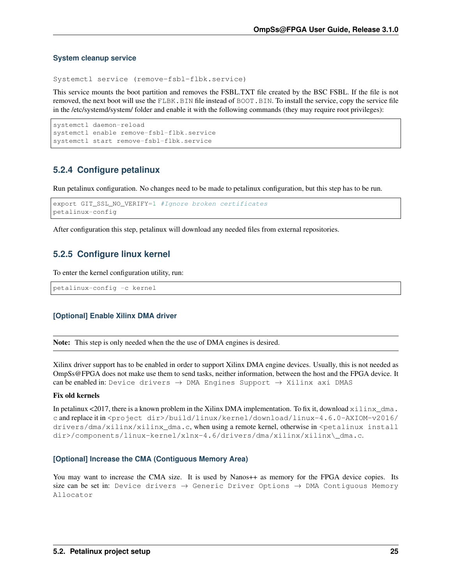#### **System cleanup service**

Systemctl service (remove-fsbl-flbk.service)

This service mounts the boot partition and removes the FSBL.TXT file created by the BSC FSBL. If the file is not removed, the next boot will use the FLBK.BIN file instead of BOOT.BIN. To install the service, copy the service file in the /etc/systemd/system/ folder and enable it with the following commands (they may require root privileges):

```
systemctl daemon-reload
systemctl enable remove-fsbl-flbk.service
systemctl start remove-fsbl-flbk.service
```
### <span id="page-28-0"></span>**5.2.4 Configure petalinux**

Run petalinux configuration. No changes need to be made to petalinux configuration, but this step has to be run.

```
export GIT_SSL_NO_VERIFY=1 #Ignore broken certificates
petalinux-config
```
After configuration this step, petalinux will download any needed files from external repositories.

### <span id="page-28-1"></span>**5.2.5 Configure linux kernel**

To enter the kernel configuration utility, run:

petalinux-config -c kernel

### **[Optional] Enable Xilinx DMA driver**

Note: This step is only needed when the the use of DMA engines is desired.

Xilinx driver support has to be enabled in order to support Xilinx DMA engine devices. Usually, this is not needed as OmpSs@FPGA does not make use them to send tasks, neither information, between the host and the FPGA device. It can be enabled in: Device drivers  $\rightarrow$  DMA Engines Support  $\rightarrow$  Xilinx axi DMAS

#### Fix old kernels

In petalinux <2017, there is a known problem in the Xilinx DMA implementation. To fix it, download  $x \perp \ln x_{\text{max}}$ . c and replace it in <project dir>/build/linux/kernel/download/linux-4.6.0-AXIOM-v2016/ drivers/dma/xilinx/xilinx\_dma.c, when using a remote kernel, otherwise in <petalinux install dir>/components/linux-kernel/xlnx-4.6/drivers/dma/xilinx/xilinx\\_dma.c.

### **[Optional] Increase the CMA (Contiguous Memory Area)**

You may want to increase the CMA size. It is used by Nanos<sup>++</sup> as memory for the FPGA device copies. Its size can be set in: Device drivers  $\rightarrow$  Generic Driver Options  $\rightarrow$  DMA Contiguous Memory Allocator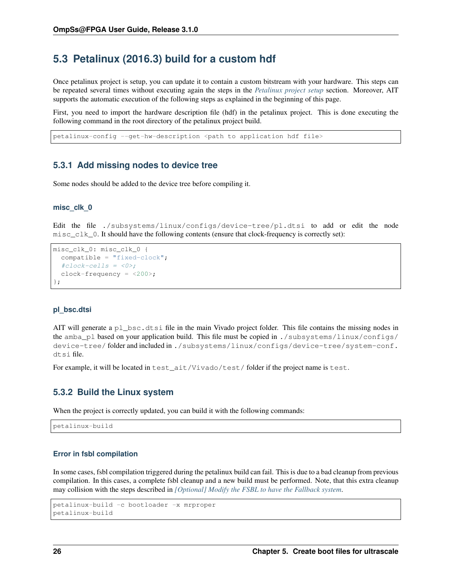## <span id="page-29-0"></span>**5.3 Petalinux (2016.3) build for a custom hdf**

Once petalinux project is setup, you can update it to contain a custom bitstream with your hardware. This steps can be repeated several times without executing again the steps in the *[Petalinux project setup](#page-26-3)* section. Moreover, AIT supports the automatic execution of the following steps as explained in the beginning of this page.

First, you need to import the hardware description file (hdf) in the petalinux project. This is done executing the following command in the root directory of the petalinux project build.

petalinux-config --get-hw-description <path to application hdf file>

### <span id="page-29-1"></span>**5.3.1 Add missing nodes to device tree**

Some nodes should be added to the device tree before compiling it.

### **misc\_clk\_0**

Edit the file ./subsystems/linux/configs/device-tree/pl.dtsi to add or edit the node  $misc_clk_0$ . It should have the following contents (ensure that clock-frequency is correctly set):

```
misc_clk_0: misc_clk_0 {
  compatible = "fixed-clock";
  #clock-cells = <0>;
  clock-frequency = <200>;
};
```
#### **pl\_bsc.dtsi**

AIT will generate a pl\_bsc.dtsi file in the main Vivado project folder. This file contains the missing nodes in the amba\_pl based on your application build. This file must be copied in ./subsystems/linux/configs/ device-tree/ folder and included in ./subsystems/linux/configs/device-tree/system-conf. dtsi file.

For example, it will be located in test\_ait/Vivado/test/ folder if the project name is test.

### <span id="page-29-2"></span>**5.3.2 Build the Linux system**

When the project is correctly updated, you can build it with the following commands:

petalinux-build

#### **Error in fsbl compilation**

In some cases, fsbl compilation triggered during the petalinux build can fail. This is due to a bad cleanup from previous compilation. In this cases, a complete fsbl cleanup and a new build must be performed. Note, that this extra cleanup may collision with the steps described in *[\[Optional\] Modify the FSBL to have the Fallback system](#page-27-2)*.

```
petalinux-build -c bootloader -x mrproper
petalinux-build
```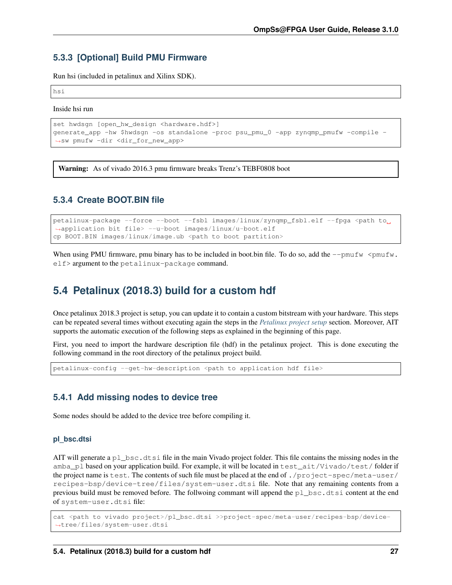### <span id="page-30-0"></span>**5.3.3 [Optional] Build PMU Firmware**

Run hsi (included in petalinux and Xilinx SDK).

hsi

Inside hsi run

```
set hwdsgn [open_hw_design <hardware.hdf>]
generate_app -hw $hwdsgn -os standalone -proc psu_pmu_0 -app zynqmp_pmufw -compile -
˓→sw pmufw -dir <dir_for_new_app>
```
**Warning:** As of vivado 2016.3 pmu firmware breaks Trenz's TEBF0808 boot

### <span id="page-30-1"></span>**5.3.4 Create BOOT.BIN file**

petalinux-package --force --boot --fsbl images/linux/zynqmp\_fsbl.elf --fpga <path to\_ ˓<sup>→</sup>application bit file> --u-boot images/linux/u-boot.elf cp BOOT.BIN images/linux/image.ub <path to boot partition>

When using PMU firmware, pmu binary has to be included in boot.bin file. To do so, add the  $-\text{pmufw}$  <pmufw. elf> argument to the petalinux-package command.

## <span id="page-30-2"></span>**5.4 Petalinux (2018.3) build for a custom hdf**

Once petalinux 2018.3 project is setup, you can update it to contain a custom bitstream with your hardware. This steps can be repeated several times without executing again the steps in the *[Petalinux project setup](#page-26-3)* section. Moreover, AIT supports the automatic execution of the following steps as explained in the beginning of this page.

First, you need to import the hardware description file (hdf) in the petalinux project. This is done executing the following command in the root directory of the petalinux project build.

petalinux-config --get-hw-description <path to application hdf file>

### <span id="page-30-3"></span>**5.4.1 Add missing nodes to device tree**

Some nodes should be added to the device tree before compiling it.

### **pl\_bsc.dtsi**

AIT will generate a  $p_1$  bsc.dtsi file in the main Vivado project folder. This file contains the missing nodes in the amba\_pl based on your application build. For example, it will be located in test\_ait/Vivado/test/ folder if the project name is test. The contents of such file must be placed at the end of ./project-spec/meta-user/ recipes-bsp/device-tree/files/system-user.dtsi file. Note that any remaining contents from a previous build must be removed before. The follwoing commant will append the pl\_bsc.dtsi content at the end of system-user.dtsi file:

cat <path to vivado project>/pl\_bsc.dtsi >>project-spec/meta-user/recipes-bsp/device- ˓<sup>→</sup>tree/files/system-user.dtsi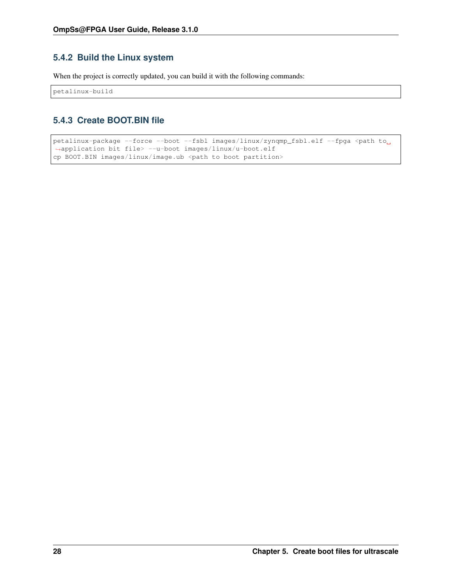## <span id="page-31-2"></span><span id="page-31-0"></span>**5.4.2 Build the Linux system**

When the project is correctly updated, you can build it with the following commands:

petalinux-build

## <span id="page-31-1"></span>**5.4.3 Create BOOT.BIN file**

```
petalinux-package --force --boot --fsbl images/linux/zynqmp_fsbl.elf --fpga <path to
˓→application bit file> --u-boot images/linux/u-boot.elf
cp BOOT.BIN images/linux/image.ub <path to boot partition>
```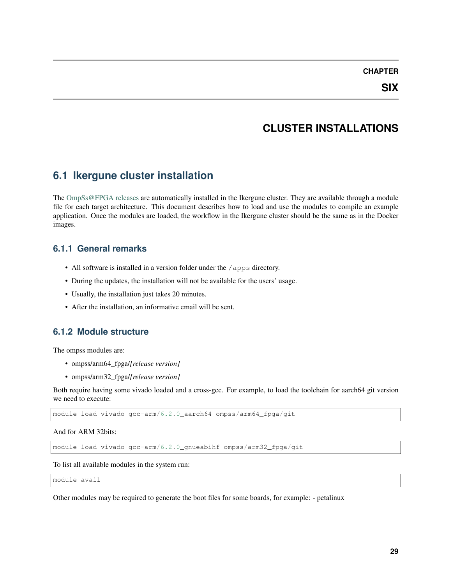### **CHAPTER**

## **CLUSTER INSTALLATIONS**

## <span id="page-32-4"></span><span id="page-32-1"></span><span id="page-32-0"></span>**6.1 Ikergune cluster installation**

The [OmpSs@FPGA releases](https://pm.bsc.es/gitlab/ompss-at-fpga/ompss-at-fpga-releases) are automatically installed in the Ikergune cluster. They are available through a module file for each target architecture. This document describes how to load and use the modules to compile an example application. Once the modules are loaded, the workflow in the Ikergune cluster should be the same as in the Docker images.

### <span id="page-32-2"></span>**6.1.1 General remarks**

- All software is installed in a version folder under the /apps directory.
- During the updates, the installation will not be available for the users' usage.
- Usually, the installation just takes 20 minutes.
- After the installation, an informative email will be sent.

### <span id="page-32-3"></span>**6.1.2 Module structure**

The ompss modules are:

- ompss/arm64\_fpga/*[release version]*
- ompss/arm32\_fpga/*[release version]*

Both require having some vivado loaded and a cross-gcc. For example, to load the toolchain for aarch64 git version we need to execute:

module load vivado gcc-arm/6.2.0\_aarch64 ompss/arm64\_fpga/git

And for ARM 32bits:

module load vivado gcc-arm/6.2.0\_gnueabihf ompss/arm32\_fpga/git

To list all available modules in the system run:

module avail

Other modules may be required to generate the boot files for some boards, for example: - petalinux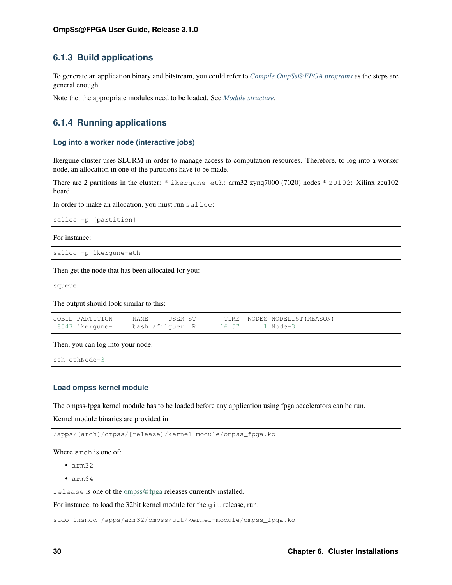## <span id="page-33-0"></span>**6.1.3 Build applications**

To generate an application binary and bitstream, you could refer to *[Compile OmpSs@FPGA programs](#page-18-0)* as the steps are general enough.

Note thet the appropriate modules need to be loaded. See *[Module structure](#page-32-3)*.

## <span id="page-33-1"></span>**6.1.4 Running applications**

#### **Log into a worker node (interactive jobs)**

Ikergune cluster uses SLURM in order to manage access to computation resources. Therefore, to log into a worker node, an allocation in one of the partitions have to be made.

There are 2 partitions in the cluster: \* ikergune-eth: arm32 zynq7000 (7020) nodes \* ZU102: Xilinx zcu102 board

In order to make an allocation, you must run salloc:

```
salloc -p [partition]
```
For instance:

```
salloc -p ikergune-eth
```
Then get the node that has been allocated for you:

squeue

The output should look similar to this:

| JOBID PARTITION | NAME.           | USER ST |                | TIME NODES NODELIST (REASON) |
|-----------------|-----------------|---------|----------------|------------------------------|
| 8547 ikergune-  | bash afilguer R |         | 16:57 1 Node-3 |                              |

Then, you can log into your node:

ssh ethNode-3

#### **Load ompss kernel module**

The ompss-fpga kernel module has to be loaded before any application using fpga accelerators can be run.

Kernel module binaries are provided in

/apps/[arch]/ompss/[release]/kernel-module/ompss\_fpga.ko

Where arch is one of:

- arm32
- arm64

release is one of the [ompss@fpga](mailto:ompss@fpga) releases currently installed.

For instance, to load the 32bit kernel module for the git release, run:

sudo insmod /apps/arm32/ompss/git/kernel-module/ompss\_fpga.ko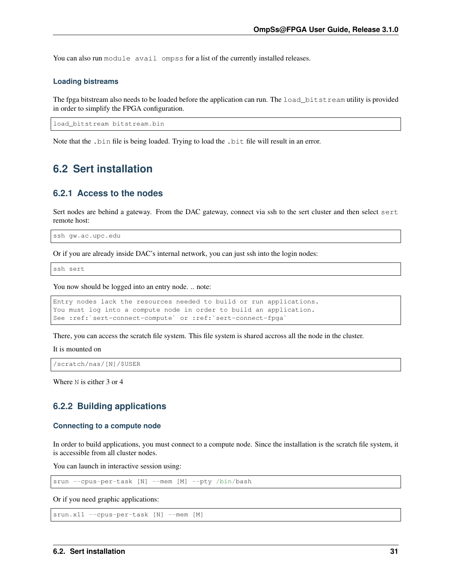<span id="page-34-3"></span>You can also run module avail ompss for a list of the currently installed releases.

#### **Loading bistreams**

The fpga bitstream also needs to be loaded before the application can run. The load\_bitstream utility is provided in order to simplify the FPGA configuration.

load\_bitstream bitstream.bin

Note that the .bin file is being loaded. Trying to load the .bit file will result in an error.

## <span id="page-34-0"></span>**6.2 Sert installation**

### <span id="page-34-1"></span>**6.2.1 Access to the nodes**

Sert nodes are behind a gateway. From the DAC gateway, connect via ssh to the sert cluster and then select sert remote host:

```
ssh gw.ac.upc.edu
```
Or if you are already inside DAC's internal network, you can just ssh into the login nodes:

ssh sert

You now should be logged into an entry node. .. note:

```
Entry nodes lack the resources needed to build or run applications.
You must log into a compute node in order to build an application.
See :ref:`sert-connect-compute` or :ref:`sert-connect-fpga`
```
There, you can access the scratch file system. This file system is shared accross all the node in the cluster.

It is mounted on

/scratch/nas/[N]/\$USER

Where N is either 3 or 4

### <span id="page-34-2"></span>**6.2.2 Building applications**

#### **Connecting to a compute node**

In order to build applications, you must connect to a compute node. Since the installation is the scratch file system, it is accessible from all cluster nodes.

You can launch in interactive session using:

srun --cpus-per-task [N] --mem [M] --pty /bin/bash

Or if you need graphic applications:

srun.x11 --cpus-per-task [N] --mem [M]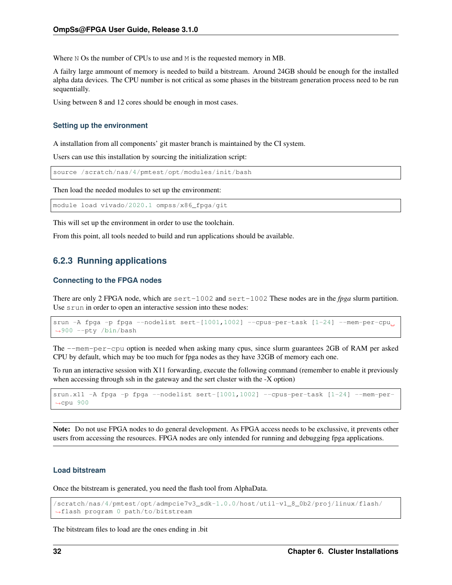Where N Os the number of CPUs to use and M is the requested memory in MB.

A failry large ammount of memory is needed to build a bitstream. Around 24GB should be enough for the installed alpha data devices. The CPU number is not critical as some phases in the bitstream generation process need to be run sequentially.

Using between 8 and 12 cores should be enough in most cases.

#### **Setting up the environment**

A installation from all components' git master branch is maintained by the CI system.

Users can use this installation by sourcing the initialization script:

source /scratch/nas/4/pmtest/opt/modules/init/bash

Then load the needed modules to set up the environment:

module load vivado/2020.1 ompss/x86\_fpga/git

This will set up the environment in order to use the toolchain.

From this point, all tools needed to build and run applications should be available.

### <span id="page-35-0"></span>**6.2.3 Running applications**

#### **Connecting to the FPGA nodes**

There are only 2 FPGA node, which are sert-1002 and sert-1002 These nodes are in the *fpga* slurm partition. Use srun in order to open an interactive session into these nodes:

```
srun -A fpga -p fpga --nodelist sert-[1001,1002] --cpus-per-task [1-24] --mem-per-cpu
˓→900 --pty /bin/bash
```
The --mem-per-cpu option is needed when asking many cpus, since slurm guarantees 2GB of RAM per asked CPU by default, which may be too much for fpga nodes as they have 32GB of memory each one.

To run an interactive session with X11 forwarding, execute the following command (remember to enable it previously when accessing through ssh in the gateway and the sert cluster with the -X option)

```
srun.x11 -A fpga -p fpga --nodelist sert-[1001,1002] --cpus-per-task [1-24] --mem-per-
˓→cpu 900
```
Note: Do not use FPGA nodes to do general development. As FPGA access needs to be exclussive, it prevents other users from accessing the resources. FPGA nodes are only intended for running and debugging fpga applications.

#### **Load bitstream**

Once the bitstream is generated, you need the flash tool from AlphaData.

```
/scratch/nas/4/pmtest/opt/admpcie7v3_sdk-1.0.0/host/util-v1_8_0b2/proj/linux/flash/
˓→flash program 0 path/to/bitstream
```
The bitstream files to load are the ones ending in .bit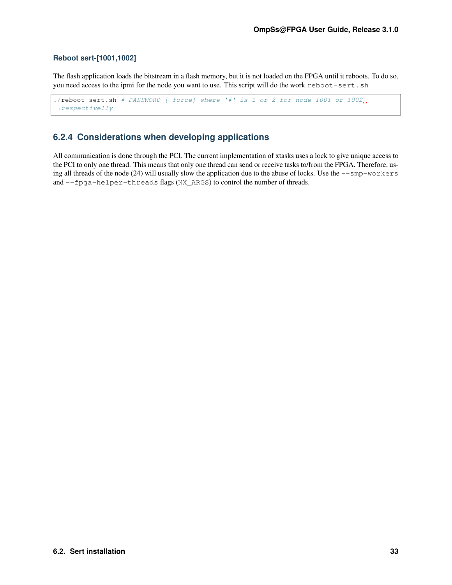### <span id="page-36-1"></span>**Reboot sert-[1001,1002]**

The flash application loads the bitstream in a flash memory, but it is not loaded on the FPGA until it reboots. To do so, you need access to the ipmi for the node you want to use. This script will do the work reboot-sert.sh

```
./reboot-sert.sh # PASSWORD [-force] where '#' is 1 or 2 for node 1001 or 1002.
˓→respectivelly
```
## <span id="page-36-0"></span>**6.2.4 Considerations when developing applications**

All communication is done through the PCI. The current implementation of xtasks uses a lock to give unique access to the PCI to only one thread. This means that only one thread can send or receive tasks to/from the FPGA. Therefore, using all threads of the node (24) will usually slow the application due to the abuse of locks. Use the  $--$ smp-workers and --fpga-helper-threads flags (NX\_ARGS) to control the number of threads.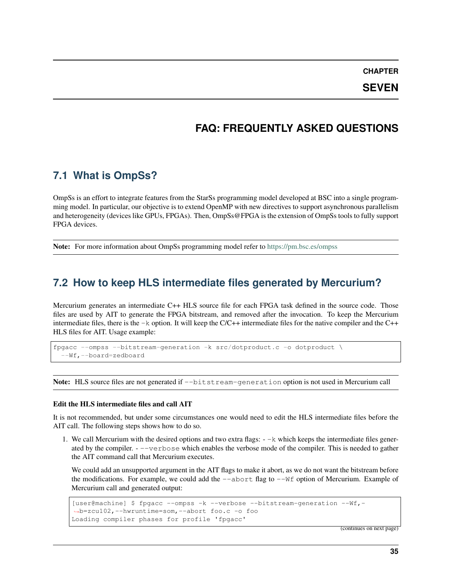**CHAPTER**

**SEVEN**

## **FAQ: FREQUENTLY ASKED QUESTIONS**

## <span id="page-38-3"></span><span id="page-38-1"></span><span id="page-38-0"></span>**7.1 What is OmpSs?**

OmpSs is an effort to integrate features from the StarSs programming model developed at BSC into a single programming model. In particular, our objective is to extend OpenMP with new directives to support asynchronous parallelism and heterogeneity (devices like GPUs, FPGAs). Then, OmpSs@FPGA is the extension of OmpSs tools to fully support FPGA devices.

Note: For more information about OmpSs programming model refer to <https://pm.bsc.es/ompss>

## <span id="page-38-2"></span>**7.2 How to keep HLS intermediate files generated by Mercurium?**

Mercurium generates an intermediate C++ HLS source file for each FPGA task defined in the source code. Those files are used by AIT to generate the FPGA bitstream, and removed after the invocation. To keep the Mercurium intermediate files, there is the  $-k$  option. It will keep the  $C/C++$  intermediate files for the native compiler and the  $C++$ HLS files for AIT. Usage example:

fpgacc --ompss --bitstream-generation -k src/dotproduct.c -o dotproduct \ --Wf,--board=zedboard

Note: HLS source files are not generated if  $-\text{bitstream-generation}$  option is not used in Mercurium call

#### Edit the HLS intermediate files and call AIT

It is not recommended, but under some circumstances one would need to edit the HLS intermediate files before the AIT call. The following steps shows how to do so.

1. We call Mercurium with the desired options and two extra flags:  $-\kappa$  which keeps the intermediate files generated by the compiler. - --verbose which enables the verbose mode of the compiler. This is needed to gather the AIT command call that Mercurium executes.

We could add an unsupported argument in the AIT flags to make it abort, as we do not want the bitstream before the modifications. For example, we could add the  $-$ -abort flag to  $-$ Wf option of Mercurium. Example of Mercurium call and generated output:

```
[user@machine] $ fpgacc --ompss -k --verbose --bitstream-generation --Wf,-
˓→b=zcu102,--hwruntime=som,--abort foo.c -o foo
Loading compiler phases for profile 'fpgacc'
```
(continues on next page)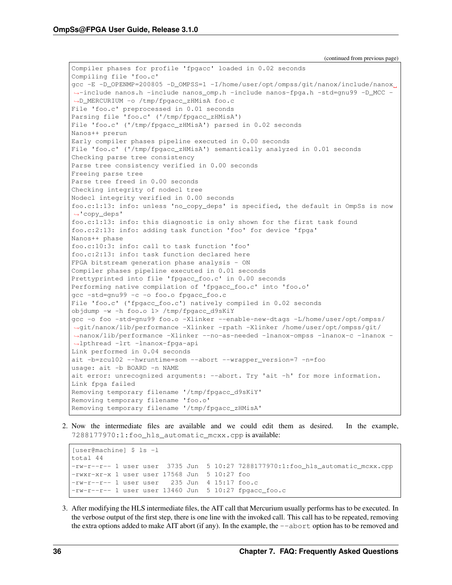Compiler phases for profile 'fpgacc' loaded in 0.02 seconds Compiling file 'foo.c' gcc -E -D\_OPENMP=200805 -D\_OMPSS=1 -I/home/user/opt/ompss/git/nanox/include/nanox ˓<sup>→</sup>-include nanos.h -include nanos\_omp.h -include nanos-fpga.h -std=gnu99 -D\_MCC - ˓<sup>→</sup>D\_MERCURIUM -o /tmp/fpgacc\_zHMisA foo.c File 'foo.c' preprocessed in 0.01 seconds Parsing file 'foo.c' ('/tmp/fpgacc\_zHMisA') File 'foo.c' ('/tmp/fpgacc\_zHMisA') parsed in 0.02 seconds Nanos++ prerun Early compiler phases pipeline executed in 0.00 seconds File 'foo.c' ('/tmp/fpgacc\_zHMisA') semantically analyzed in 0.01 seconds Checking parse tree consistency Parse tree consistency verified in 0.00 seconds Freeing parse tree Parse tree freed in 0.00 seconds Checking integrity of nodecl tree Nodecl integrity verified in 0.00 seconds foo.c:1:13: info: unless 'no\_copy\_deps' is specified, the default in OmpSs is now ˓<sup>→</sup>'copy\_deps' foo.c:1:13: info: this diagnostic is only shown for the first task found foo.c:2:13: info: adding task function 'foo' for device 'fpga' Nanos++ phase foo.c:10:3: info: call to task function 'foo' foo.c:2:13: info: task function declared here FPGA bitstream generation phase analysis - ON Compiler phases pipeline executed in 0.01 seconds Prettyprinted into file 'fpgacc\_foo.c' in 0.00 seconds Performing native compilation of 'fpgacc\_foo.c' into 'foo.o' gcc -std=gnu99 -c -o foo.o fpgacc\_foo.c File 'foo.c' ('fpgacc\_foo.c') natively compiled in 0.02 seconds objdump -w -h foo.o 1> /tmp/fpgacc\_d9sKiY gcc -o foo -std=gnu99 foo.o -Xlinker --enable-new-dtags -L/home/user/opt/ompss/ ˓<sup>→</sup>git/nanox/lib/performance -Xlinker -rpath -Xlinker /home/user/opt/ompss/git/ ˓<sup>→</sup>nanox/lib/performance -Xlinker --no-as-needed -lnanox-ompss -lnanox-c -lnanox - ˓<sup>→</sup>lpthread -lrt -lnanox-fpga-api Link performed in 0.04 seconds ait -b=zcu102 --hwruntime=som --abort --wrapper\_version=7 -n=foo usage: ait -b BOARD -n NAME ait error: unrecognized arguments: --abort. Try 'ait -h' for more information. Link fpga failed Removing temporary filename '/tmp/fpgacc\_d9sKiY' Removing temporary filename 'foo.o' Removing temporary filename '/tmp/fpgacc\_zHMisA'

2. Now the intermediate files are available and we could edit them as desired. In the example, 7288177970:1:foo\_hls\_automatic\_mcxx.cpp is available:

```
[user@machine] $ ls -l
total 44
-rw-r--1 user user 3735 Jun 5 10:27 7288177970:1:foo hls automatic mcxx.cpp
-rwxr-xr-x 1 user user 17568 Jun 5 10:27 foo
-rw-r--r-- 1 user user 235 Jun 4 15:17 foo.c
-rw-r--r-- 1 user user 13460 Jun 5 10:27 fpgacc_foo.c
```
3. After modifying the HLS intermediate files, the AIT call that Mercurium usually performs has to be executed. In the verbose output of the first step, there is one line with the invoked call. This call has to be repeated, removing the extra options added to make AIT abort (if any). In the example, the  $-\text{abort}$  option has to be removed and

(continued from previous page)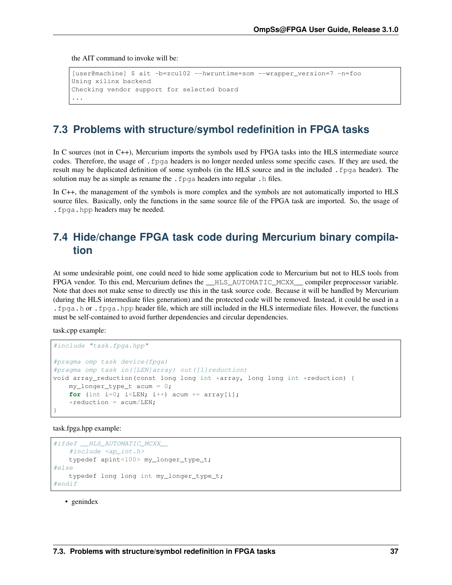<span id="page-40-2"></span>the AIT command to invoke will be:

```
[user@machine] $ ait -b=zcu102 --hwruntime=som --wrapper_version=7 -n=foo
Using xilinx backend
Checking vendor support for selected board
...
```
## <span id="page-40-0"></span>**7.3 Problems with structure/symbol redefinition in FPGA tasks**

In C sources (not in C++), Mercurium imports the symbols used by FPGA tasks into the HLS intermediate source codes. Therefore, the usage of .fpga headers is no longer needed unless some specific cases. If they are used, the result may be duplicated definition of some symbols (in the HLS source and in the included .fpga header). The solution may be as simple as rename the . fpga headers into regular . h files.

In C++, the management of the symbols is more complex and the symbols are not automatically imported to HLS source files. Basically, only the functions in the same source file of the FPGA task are imported. So, the usage of .fpga.hpp headers may be needed.

## <span id="page-40-1"></span>**7.4 Hide/change FPGA task code during Mercurium binary compilation**

At some undesirable point, one could need to hide some application code to Mercurium but not to HLS tools from FPGA vendor. To this end, Mercurium defines the **HLS\_AUTOMATIC\_MCXX** compiler preprocessor variable. Note that does not make sense to directly use this in the task source code. Because it will be handled by Mercurium (during the HLS intermediate files generation) and the protected code will be removed. Instead, it could be used in a .fpga.h or .fpga.hpp header file, which are still included in the HLS intermediate files. However, the functions must be self-contained to avoid further dependencies and circular dependencies.

task.cpp example:

```
#include "task.fpga.hpp"
#pragma omp task device(fpga)
#pragma omp task in([LEN]array) out([1]reduction)
void array_reduction(const long long int *array, long long int *reduction) {
   my_longer_type_t acum = 0;
    for (int i=0; i<LEN; i++) acum += array[i];
    *reduction = acum/LEN;
}
```
task.fpga.hpp example:

```
#ifdef __HLS_AUTOMATIC_MCXX__
    #include <ap_int.h>
    typedef apint<100> my_longer_type_t;
#else
   typedef long long int my_longer_type_t;
#endif
```
• genindex